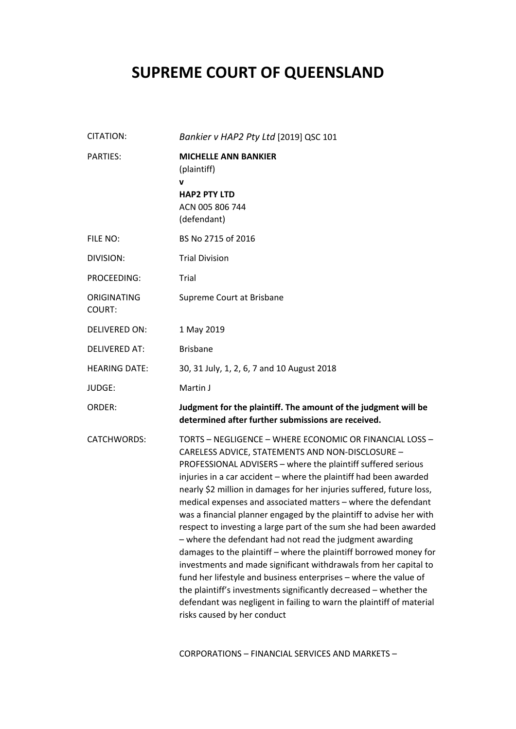# **SUPREME COURT OF QUEENSLAND**

| CITATION:                    | Bankier v HAP2 Pty Ltd [2019] QSC 101                                                                                                                                                                                                                                                                                                                                                                                                                                                                                                                                                                                                                                                                                                                                                                                                                                                                                                                                                       |
|------------------------------|---------------------------------------------------------------------------------------------------------------------------------------------------------------------------------------------------------------------------------------------------------------------------------------------------------------------------------------------------------------------------------------------------------------------------------------------------------------------------------------------------------------------------------------------------------------------------------------------------------------------------------------------------------------------------------------------------------------------------------------------------------------------------------------------------------------------------------------------------------------------------------------------------------------------------------------------------------------------------------------------|
| <b>PARTIES:</b>              | <b>MICHELLE ANN BANKIER</b><br>(plaintiff)<br>v<br><b>HAP2 PTY LTD</b><br>ACN 005 806 744<br>(defendant)                                                                                                                                                                                                                                                                                                                                                                                                                                                                                                                                                                                                                                                                                                                                                                                                                                                                                    |
| FILE NO:                     | BS No 2715 of 2016                                                                                                                                                                                                                                                                                                                                                                                                                                                                                                                                                                                                                                                                                                                                                                                                                                                                                                                                                                          |
| DIVISION:                    | <b>Trial Division</b>                                                                                                                                                                                                                                                                                                                                                                                                                                                                                                                                                                                                                                                                                                                                                                                                                                                                                                                                                                       |
| PROCEEDING:                  | Trial                                                                                                                                                                                                                                                                                                                                                                                                                                                                                                                                                                                                                                                                                                                                                                                                                                                                                                                                                                                       |
| ORIGINATING<br><b>COURT:</b> | Supreme Court at Brisbane                                                                                                                                                                                                                                                                                                                                                                                                                                                                                                                                                                                                                                                                                                                                                                                                                                                                                                                                                                   |
| <b>DELIVERED ON:</b>         | 1 May 2019                                                                                                                                                                                                                                                                                                                                                                                                                                                                                                                                                                                                                                                                                                                                                                                                                                                                                                                                                                                  |
| <b>DELIVERED AT:</b>         | <b>Brisbane</b>                                                                                                                                                                                                                                                                                                                                                                                                                                                                                                                                                                                                                                                                                                                                                                                                                                                                                                                                                                             |
| <b>HEARING DATE:</b>         | 30, 31 July, 1, 2, 6, 7 and 10 August 2018                                                                                                                                                                                                                                                                                                                                                                                                                                                                                                                                                                                                                                                                                                                                                                                                                                                                                                                                                  |
| JUDGE:                       | Martin J                                                                                                                                                                                                                                                                                                                                                                                                                                                                                                                                                                                                                                                                                                                                                                                                                                                                                                                                                                                    |
| ORDER:                       | Judgment for the plaintiff. The amount of the judgment will be<br>determined after further submissions are received.                                                                                                                                                                                                                                                                                                                                                                                                                                                                                                                                                                                                                                                                                                                                                                                                                                                                        |
| CATCHWORDS:                  | TORTS - NEGLIGENCE - WHERE ECONOMIC OR FINANCIAL LOSS -<br>CARELESS ADVICE, STATEMENTS AND NON-DISCLOSURE -<br>PROFESSIONAL ADVISERS - where the plaintiff suffered serious<br>injuries in a car accident - where the plaintiff had been awarded<br>nearly \$2 million in damages for her injuries suffered, future loss,<br>medical expenses and associated matters - where the defendant<br>was a financial planner engaged by the plaintiff to advise her with<br>respect to investing a large part of the sum she had been awarded<br>- where the defendant had not read the judgment awarding<br>damages to the plaintiff - where the plaintiff borrowed money for<br>investments and made significant withdrawals from her capital to<br>fund her lifestyle and business enterprises - where the value of<br>the plaintiff's investments significantly decreased - whether the<br>defendant was negligent in failing to warn the plaintiff of material<br>risks caused by her conduct |

CORPORATIONS – FINANCIAL SERVICES AND MARKETS –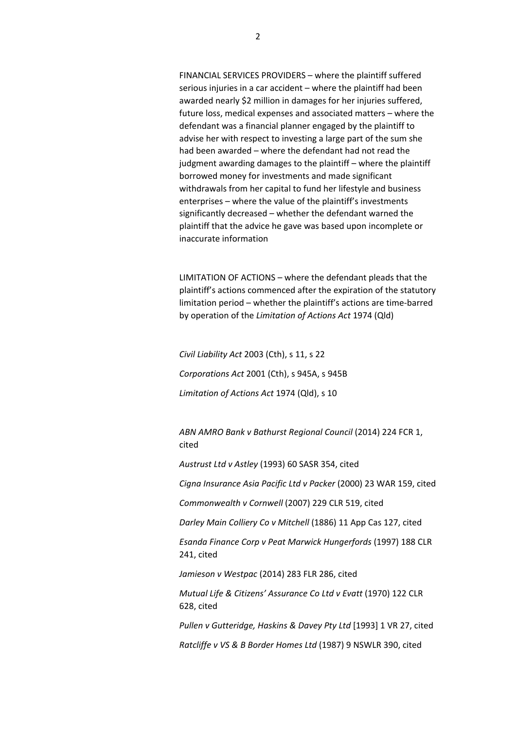FINANCIAL SERVICES PROVIDERS – where the plaintiff suffered serious injuries in a car accident – where the plaintiff had been awarded nearly \$2 million in damages for her injuries suffered, future loss, medical expenses and associated matters – where the defendant was a financial planner engaged by the plaintiff to advise her with respect to investing a large part of the sum she had been awarded – where the defendant had not read the judgment awarding damages to the plaintiff – where the plaintiff borrowed money for investments and made significant withdrawals from her capital to fund her lifestyle and business enterprises – where the value of the plaintiff's investments significantly decreased – whether the defendant warned the plaintiff that the advice he gave was based upon incomplete or inaccurate information

LIMITATION OF ACTIONS – where the defendant pleads that the plaintiff's actions commenced after the expiration of the statutory limitation period – whether the plaintiff's actions are time-barred by operation of the *Limitation of Actions Act* 1974 (Qld)

*Civil Liability Act* 2003 (Cth), s 11, s 22

*Corporations Act* 2001 (Cth), s 945A, s 945B

*Limitation of Actions Act* 1974 (Qld), s 10

*ABN AMRO Bank v Bathurst Regional Council* (2014) 224 FCR 1, cited

*Austrust Ltd v Astley* (1993) 60 SASR 354, cited

*Cigna Insurance Asia Pacific Ltd v Packer* (2000) 23 WAR 159, cited

*Commonwealth v Cornwell* (2007) 229 CLR 519, cited

*Darley Main Colliery Co v Mitchell* (1886) 11 App Cas 127, cited

*Esanda Finance Corp v Peat Marwick Hungerfords* (1997) 188 CLR 241, cited

*Jamieson v Westpac* (2014) 283 FLR 286, cited

*Mutual Life & Citizens' Assurance Co Ltd v Evatt* (1970) 122 CLR 628, cited

*Pullen v Gutteridge, Haskins & Davey Pty Ltd* [1993] 1 VR 27, cited

*Ratcliffe v VS & B Border Homes Ltd* (1987) 9 NSWLR 390, cited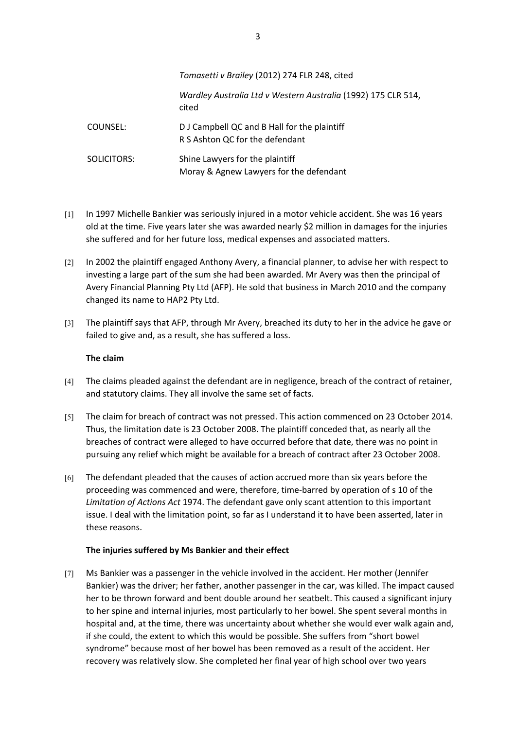|             | Tomasetti v Brailey (2012) 274 FLR 248, cited                                   |
|-------------|---------------------------------------------------------------------------------|
|             | Wardley Australia Ltd v Western Australia (1992) 175 CLR 514,<br>cited          |
| COUNSEL:    | D J Campbell QC and B Hall for the plaintiff<br>R S Ashton QC for the defendant |
| SOLICITORS: | Shine Lawyers for the plaintiff<br>Moray & Agnew Lawyers for the defendant      |

- [1] In 1997 Michelle Bankier was seriously injured in a motor vehicle accident. She was 16 years old at the time. Five years later she was awarded nearly \$2 million in damages for the injuries she suffered and for her future loss, medical expenses and associated matters.
- [2] In 2002 the plaintiff engaged Anthony Avery, a financial planner, to advise her with respect to investing a large part of the sum she had been awarded. Mr Avery was then the principal of Avery Financial Planning Pty Ltd (AFP). He sold that business in March 2010 and the company changed its name to HAP2 Pty Ltd.
- [3] The plaintiff says that AFP, through Mr Avery, breached its duty to her in the advice he gave or failed to give and, as a result, she has suffered a loss.

## **The claim**

- [4] The claims pleaded against the defendant are in negligence, breach of the contract of retainer, and statutory claims. They all involve the same set of facts.
- [5] The claim for breach of contract was not pressed. This action commenced on 23 October 2014. Thus, the limitation date is 23 October 2008. The plaintiff conceded that, as nearly all the breaches of contract were alleged to have occurred before that date, there was no point in pursuing any relief which might be available for a breach of contract after 23 October 2008.
- [6] The defendant pleaded that the causes of action accrued more than six years before the proceeding was commenced and were, therefore, time-barred by operation of s 10 of the *Limitation of Actions Act* 1974. The defendant gave only scant attention to this important issue. I deal with the limitation point, so far as I understand it to have been asserted, later in these reasons.

#### **The injuries suffered by Ms Bankier and their effect**

[7] Ms Bankier was a passenger in the vehicle involved in the accident. Her mother (Jennifer Bankier) was the driver; her father, another passenger in the car, was killed. The impact caused her to be thrown forward and bent double around her seatbelt. This caused a significant injury to her spine and internal injuries, most particularly to her bowel. She spent several months in hospital and, at the time, there was uncertainty about whether she would ever walk again and, if she could, the extent to which this would be possible. She suffers from "short bowel syndrome" because most of her bowel has been removed as a result of the accident. Her recovery was relatively slow. She completed her final year of high school over two years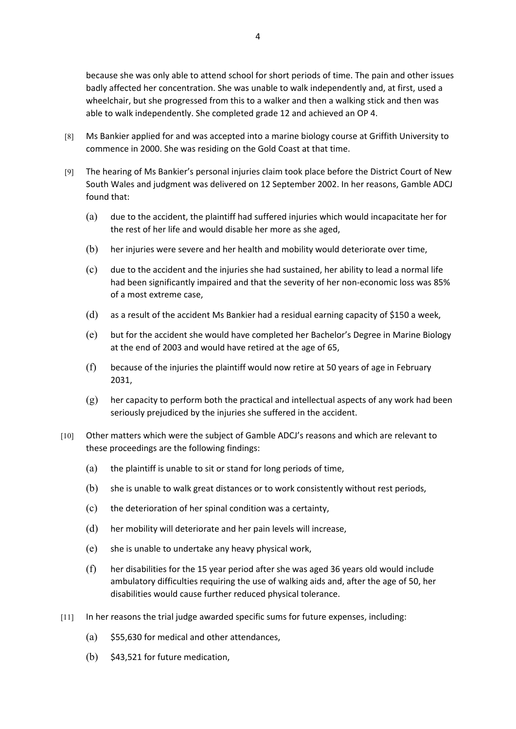because she was only able to attend school for short periods of time. The pain and other issues badly affected her concentration. She was unable to walk independently and, at first, used a wheelchair, but she progressed from this to a walker and then a walking stick and then was able to walk independently. She completed grade 12 and achieved an OP 4.

- [8] Ms Bankier applied for and was accepted into a marine biology course at Griffith University to commence in 2000. She was residing on the Gold Coast at that time.
- [9] The hearing of Ms Bankier's personal injuries claim took place before the District Court of New South Wales and judgment was delivered on 12 September 2002. In her reasons, Gamble ADCJ found that:
	- (a) due to the accident, the plaintiff had suffered injuries which would incapacitate her for the rest of her life and would disable her more as she aged,
	- (b) her injuries were severe and her health and mobility would deteriorate over time,
	- (c) due to the accident and the injuries she had sustained, her ability to lead a normal life had been significantly impaired and that the severity of her non-economic loss was 85% of a most extreme case,
	- (d) as a result of the accident Ms Bankier had a residual earning capacity of \$150 a week,
	- (e) but for the accident she would have completed her Bachelor's Degree in Marine Biology at the end of 2003 and would have retired at the age of 65,
	- (f) because of the injuries the plaintiff would now retire at 50 years of age in February 2031,
	- $(g)$  her capacity to perform both the practical and intellectual aspects of any work had been seriously prejudiced by the injuries she suffered in the accident.
- [10] Other matters which were the subject of Gamble ADCJ's reasons and which are relevant to these proceedings are the following findings:
	- (a) the plaintiff is unable to sit or stand for long periods of time,
	- (b) she is unable to walk great distances or to work consistently without rest periods,
	- (c) the deterioration of her spinal condition was a certainty,
	- (d) her mobility will deteriorate and her pain levels will increase,
	- (e) she is unable to undertake any heavy physical work,
	- (f) her disabilities for the 15 year period after she was aged 36 years old would include ambulatory difficulties requiring the use of walking aids and, after the age of 50, her disabilities would cause further reduced physical tolerance.
- [11] In her reasons the trial judge awarded specific sums for future expenses, including:
	- $(a)$  \$55,630 for medical and other attendances,
	- (b) \$43,521 for future medication,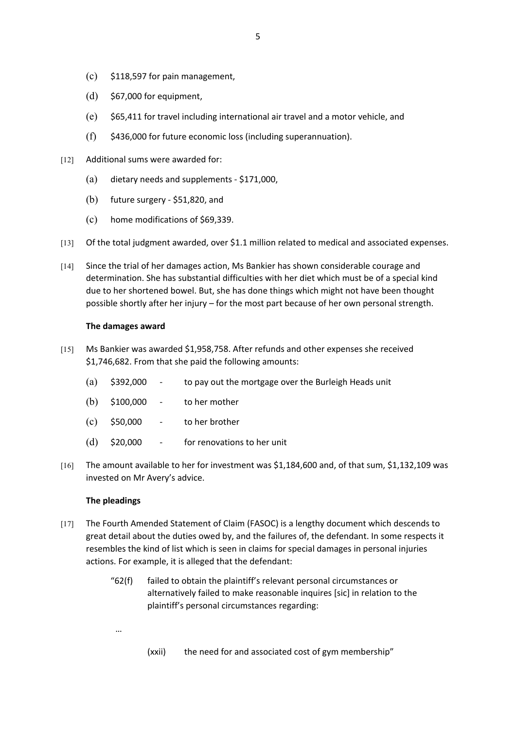- $(c)$  \$118,597 for pain management,
- (d) \$67,000 for equipment,
- (e) \$65,411 for travel including international air travel and a motor vehicle, and
- $(f)$  \$436,000 for future economic loss (including superannuation).
- [12] Additional sums were awarded for:
	- (a) dietary needs and supplements \$171,000,
	- (b) future surgery \$51,820, and
	- (c) home modifications of \$69,339.
- [13] Of the total judgment awarded, over \$1.1 million related to medical and associated expenses.
- [14] Since the trial of her damages action, Ms Bankier has shown considerable courage and determination. She has substantial difficulties with her diet which must be of a special kind due to her shortened bowel. But, she has done things which might not have been thought possible shortly after her injury – for the most part because of her own personal strength.

## **The damages award**

- [15] Ms Bankier was awarded \$1,958,758. After refunds and other expenses she received \$1,746,682. From that she paid the following amounts:
	- (a) \$392,000 to pay out the mortgage over the Burleigh Heads unit
	- (b) \$100,000 to her mother
	- (c) \$50,000 to her brother
	- (d) \$20,000 for renovations to her unit
- [16] The amount available to her for investment was \$1,184,600 and, of that sum, \$1,132,109 was invested on Mr Avery's advice.

## **The pleadings**

- [17] The Fourth Amended Statement of Claim (FASOC) is a lengthy document which descends to great detail about the duties owed by, and the failures of, the defendant. In some respects it resembles the kind of list which is seen in claims for special damages in personal injuries actions. For example, it is alleged that the defendant:
	- "62(f) failed to obtain the plaintiff's relevant personal circumstances or alternatively failed to make reasonable inquires [sic] in relation to the plaintiff's personal circumstances regarding:

(xxii) the need for and associated cost of gym membership"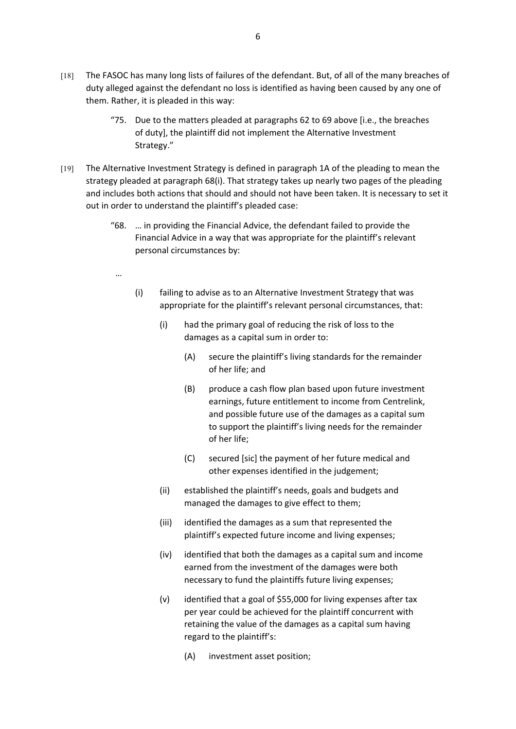- [18] The FASOC has many long lists of failures of the defendant. But, of all of the many breaches of duty alleged against the defendant no loss is identified as having been caused by any one of them. Rather, it is pleaded in this way:
	- "75. Due to the matters pleaded at paragraphs 62 to 69 above [i.e., the breaches of duty], the plaintiff did not implement the Alternative Investment Strategy."
- [19] The Alternative Investment Strategy is defined in paragraph 1A of the pleading to mean the strategy pleaded at paragraph 68(i). That strategy takes up nearly two pages of the pleading and includes both actions that should and should not have been taken. It is necessary to set it out in order to understand the plaintiff's pleaded case:
	- "68. … in providing the Financial Advice, the defendant failed to provide the Financial Advice in a way that was appropriate for the plaintiff's relevant personal circumstances by:
	- …
- (i) failing to advise as to an Alternative Investment Strategy that was appropriate for the plaintiff's relevant personal circumstances, that:
	- (i) had the primary goal of reducing the risk of loss to the damages as a capital sum in order to:
		- (A) secure the plaintiff's living standards for the remainder of her life; and
		- (B) produce a cash flow plan based upon future investment earnings, future entitlement to income from Centrelink, and possible future use of the damages as a capital sum to support the plaintiff's living needs for the remainder of her life;
		- (C) secured [sic] the payment of her future medical and other expenses identified in the judgement;
	- (ii) established the plaintiff's needs, goals and budgets and managed the damages to give effect to them;
	- (iii) identified the damages as a sum that represented the plaintiff's expected future income and living expenses;
	- (iv) identified that both the damages as a capital sum and income earned from the investment of the damages were both necessary to fund the plaintiffs future living expenses;
	- (v) identified that a goal of \$55,000 for living expenses after tax per year could be achieved for the plaintiff concurrent with retaining the value of the damages as a capital sum having regard to the plaintiff's:
		- (A) investment asset position;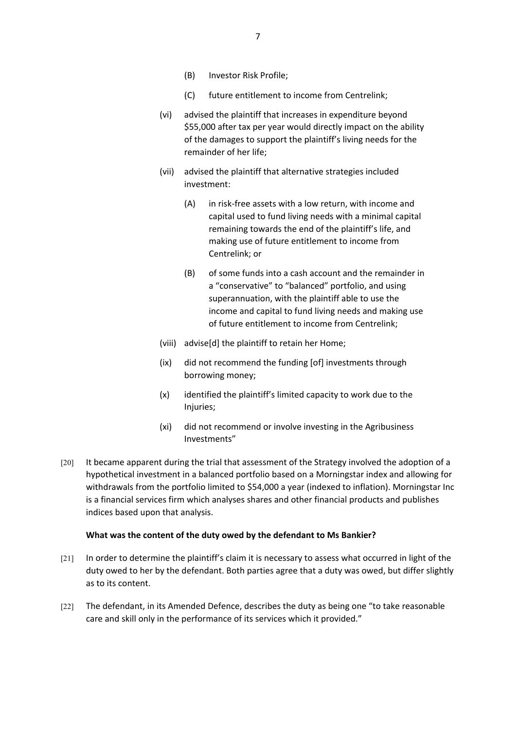- (B) Investor Risk Profile;
- (C) future entitlement to income from Centrelink;
- (vi) advised the plaintiff that increases in expenditure beyond \$55,000 after tax per year would directly impact on the ability of the damages to support the plaintiff's living needs for the remainder of her life;
- (vii) advised the plaintiff that alternative strategies included investment:
	- (A) in risk-free assets with a low return, with income and capital used to fund living needs with a minimal capital remaining towards the end of the plaintiff's life, and making use of future entitlement to income from Centrelink; or
	- (B) of some funds into a cash account and the remainder in a "conservative" to "balanced" portfolio, and using superannuation, with the plaintiff able to use the income and capital to fund living needs and making use of future entitlement to income from Centrelink;
- (viii) advise[d] the plaintiff to retain her Home;
- (ix) did not recommend the funding [of] investments through borrowing money;
- (x) identified the plaintiff's limited capacity to work due to the Injuries;
- (xi) did not recommend or involve investing in the Agribusiness Investments"
- [20] It became apparent during the trial that assessment of the Strategy involved the adoption of a hypothetical investment in a balanced portfolio based on a Morningstar index and allowing for withdrawals from the portfolio limited to \$54,000 a year (indexed to inflation). Morningstar Inc is a financial services firm which analyses shares and other financial products and publishes indices based upon that analysis.

## **What was the content of the duty owed by the defendant to Ms Bankier?**

- [21] In order to determine the plaintiff's claim it is necessary to assess what occurred in light of the duty owed to her by the defendant. Both parties agree that a duty was owed, but differ slightly as to its content.
- [22] The defendant, in its Amended Defence, describes the duty as being one "to take reasonable care and skill only in the performance of its services which it provided."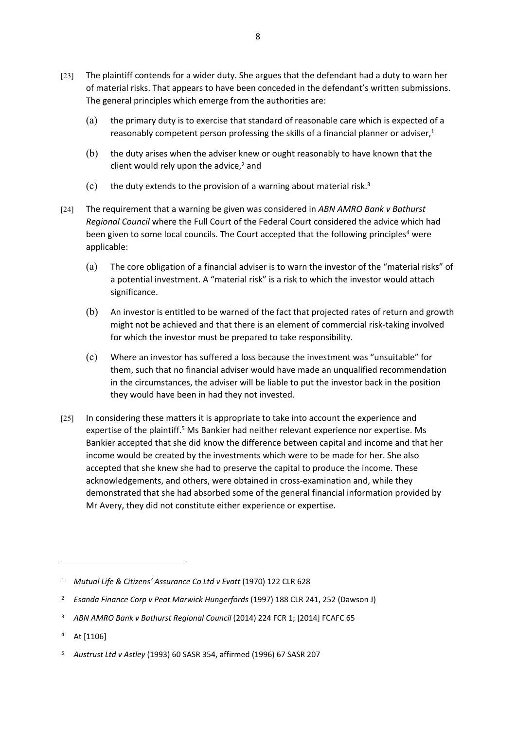- [23] The plaintiff contends for a wider duty. She argues that the defendant had a duty to warn her of material risks. That appears to have been conceded in the defendant's written submissions. The general principles which emerge from the authorities are:
	- (a) the primary duty is to exercise that standard of reasonable care which is expected of a reasonably competent person professing the skills of a financial planner or adviser, $1$
	- (b) the duty arises when the adviser knew or ought reasonably to have known that the client would rely upon the advice,<sup>2</sup> and
	- (c) the duty extends to the provision of a warning about material risk.<sup>3</sup>
- [24] The requirement that a warning be given was considered in *ABN AMRO Bank v Bathurst Regional Council* where the Full Court of the Federal Court considered the advice which had been given to some local councils. The Court accepted that the following principles<sup>4</sup> were applicable:
	- (a) The core obligation of a financial adviser is to warn the investor of the "material risks" of a potential investment. A "material risk" is a risk to which the investor would attach significance.
	- (b) An investor is entitled to be warned of the fact that projected rates of return and growth might not be achieved and that there is an element of commercial risk-taking involved for which the investor must be prepared to take responsibility.
	- (c) Where an investor has suffered a loss because the investment was "unsuitable" for them, such that no financial adviser would have made an unqualified recommendation in the circumstances, the adviser will be liable to put the investor back in the position they would have been in had they not invested.
- [25] In considering these matters it is appropriate to take into account the experience and expertise of the plaintiff.<sup>5</sup> Ms Bankier had neither relevant experience nor expertise. Ms Bankier accepted that she did know the difference between capital and income and that her income would be created by the investments which were to be made for her. She also accepted that she knew she had to preserve the capital to produce the income. These acknowledgements, and others, were obtained in cross-examination and, while they demonstrated that she had absorbed some of the general financial information provided by Mr Avery, they did not constitute either experience or expertise.

<sup>&</sup>lt;sup>1</sup> Mutual Life & Citizens' Assurance Co Ltd v Evatt (1970) 122 CLR 628

<sup>2</sup> *Esanda Finance Corp v Peat Marwick Hungerfords* (1997) 188 CLR 241, 252 (Dawson J)

<sup>&</sup>lt;sup>3</sup> ABN AMRO Bank v Bathurst Regional Council (2014) 224 FCR 1; [2014] FCAFC 65

<sup>4</sup> At [1106]

<sup>5</sup> *Austrust Ltd v Astley* (1993) 60 SASR 354, affirmed (1996) 67 SASR 207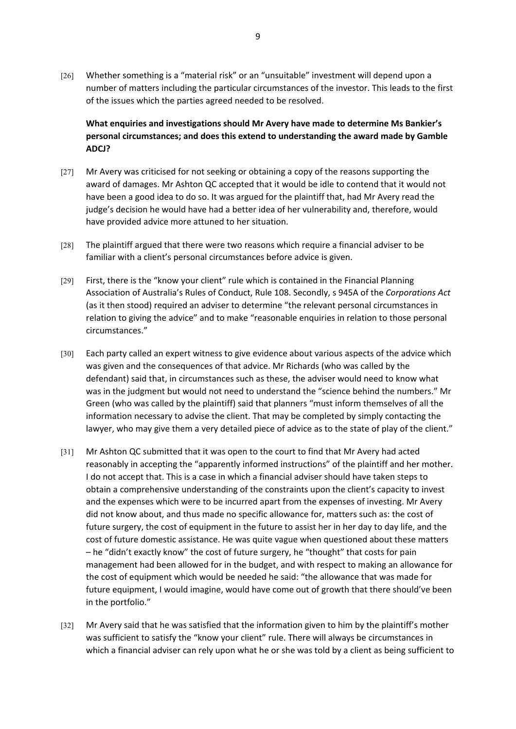[26] Whether something is a "material risk" or an "unsuitable" investment will depend upon a number of matters including the particular circumstances of the investor. This leads to the first of the issues which the parties agreed needed to be resolved.

**What enquiries and investigations should Mr Avery have made to determine Ms Bankier's personal circumstances; and does this extend to understanding the award made by Gamble ADCJ?**

- [27] Mr Avery was criticised for not seeking or obtaining a copy of the reasons supporting the award of damages. Mr Ashton QC accepted that it would be idle to contend that it would not have been a good idea to do so. It was argued for the plaintiff that, had Mr Avery read the judge's decision he would have had a better idea of her vulnerability and, therefore, would have provided advice more attuned to her situation.
- [28] The plaintiff argued that there were two reasons which require a financial adviser to be familiar with a client's personal circumstances before advice is given.
- [29] First, there is the "know your client" rule which is contained in the Financial Planning Association of Australia's Rules of Conduct, Rule 108. Secondly, s 945A of the *Corporations Act*  (as it then stood) required an adviser to determine "the relevant personal circumstances in relation to giving the advice" and to make "reasonable enquiries in relation to those personal circumstances."
- [30] Each party called an expert witness to give evidence about various aspects of the advice which was given and the consequences of that advice. Mr Richards (who was called by the defendant) said that, in circumstances such as these, the adviser would need to know what was in the judgment but would not need to understand the "science behind the numbers." Mr Green (who was called by the plaintiff) said that planners "must inform themselves of all the information necessary to advise the client. That may be completed by simply contacting the lawyer, who may give them a very detailed piece of advice as to the state of play of the client."
- [31] Mr Ashton QC submitted that it was open to the court to find that Mr Avery had acted reasonably in accepting the "apparently informed instructions" of the plaintiff and her mother. I do not accept that. This is a case in which a financial adviser should have taken steps to obtain a comprehensive understanding of the constraints upon the client's capacity to invest and the expenses which were to be incurred apart from the expenses of investing. Mr Avery did not know about, and thus made no specific allowance for, matters such as: the cost of future surgery, the cost of equipment in the future to assist her in her day to day life, and the cost of future domestic assistance. He was quite vague when questioned about these matters – he "didn't exactly know" the cost of future surgery, he "thought" that costs for pain management had been allowed for in the budget, and with respect to making an allowance for the cost of equipment which would be needed he said: "the allowance that was made for future equipment, I would imagine, would have come out of growth that there should've been in the portfolio."
- [32] Mr Avery said that he was satisfied that the information given to him by the plaintiff's mother was sufficient to satisfy the "know your client" rule. There will always be circumstances in which a financial adviser can rely upon what he or she was told by a client as being sufficient to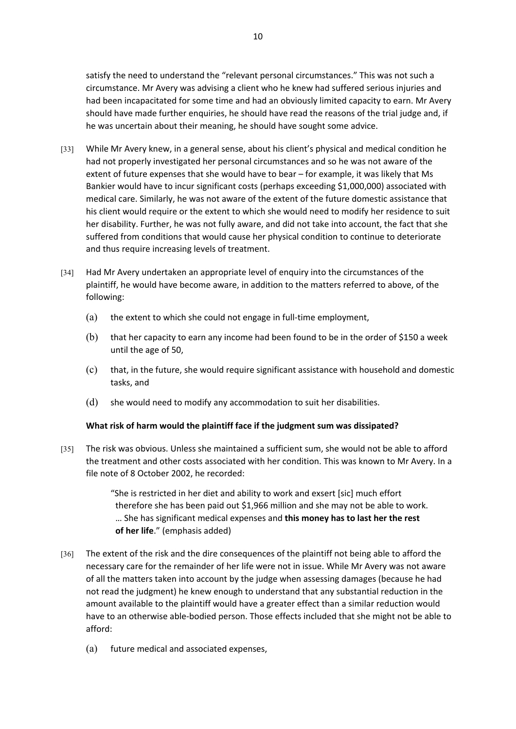satisfy the need to understand the "relevant personal circumstances." This was not such a circumstance. Mr Avery was advising a client who he knew had suffered serious injuries and had been incapacitated for some time and had an obviously limited capacity to earn. Mr Avery should have made further enquiries, he should have read the reasons of the trial judge and, if he was uncertain about their meaning, he should have sought some advice.

- [33] While Mr Avery knew, in a general sense, about his client's physical and medical condition he had not properly investigated her personal circumstances and so he was not aware of the extent of future expenses that she would have to bear – for example, it was likely that Ms Bankier would have to incur significant costs (perhaps exceeding \$1,000,000) associated with medical care. Similarly, he was not aware of the extent of the future domestic assistance that his client would require or the extent to which she would need to modify her residence to suit her disability. Further, he was not fully aware, and did not take into account, the fact that she suffered from conditions that would cause her physical condition to continue to deteriorate and thus require increasing levels of treatment.
- [34] Had Mr Avery undertaken an appropriate level of enquiry into the circumstances of the plaintiff, he would have become aware, in addition to the matters referred to above, of the following:
	- (a) the extent to which she could not engage in full-time employment,
	- (b) that her capacity to earn any income had been found to be in the order of \$150 a week until the age of 50,
	- (c) that, in the future, she would require significant assistance with household and domestic tasks, and
	- (d) she would need to modify any accommodation to suit her disabilities.

#### **What risk of harm would the plaintiff face if the judgment sum was dissipated?**

[35] The risk was obvious. Unless she maintained a sufficient sum, she would not be able to afford the treatment and other costs associated with her condition. This was known to Mr Avery. In a file note of 8 October 2002, he recorded:

> "She is restricted in her diet and ability to work and exsert [sic] much effort therefore she has been paid out \$1,966 million and she may not be able to work. … She has significant medical expenses and **this money has to last her the rest of her life**." (emphasis added)

- [36] The extent of the risk and the dire consequences of the plaintiff not being able to afford the necessary care for the remainder of her life were not in issue. While Mr Avery was not aware of all the matters taken into account by the judge when assessing damages (because he had not read the judgment) he knew enough to understand that any substantial reduction in the amount available to the plaintiff would have a greater effect than a similar reduction would have to an otherwise able-bodied person. Those effects included that she might not be able to afford:
	- (a) future medical and associated expenses,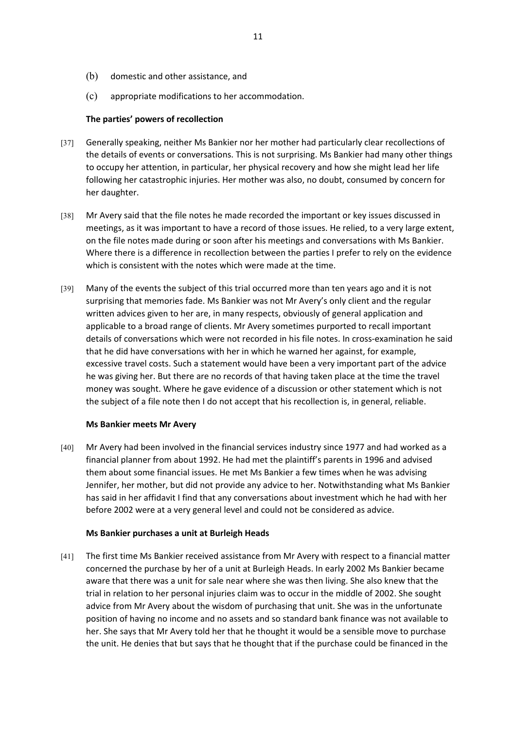- (b) domestic and other assistance, and
- (c) appropriate modifications to her accommodation.

## **The parties' powers of recollection**

- [37] Generally speaking, neither Ms Bankier nor her mother had particularly clear recollections of the details of events or conversations. This is not surprising. Ms Bankier had many other things to occupy her attention, in particular, her physical recovery and how she might lead her life following her catastrophic injuries. Her mother was also, no doubt, consumed by concern for her daughter.
- [38] Mr Avery said that the file notes he made recorded the important or key issues discussed in meetings, as it was important to have a record of those issues. He relied, to a very large extent, on the file notes made during or soon after his meetings and conversations with Ms Bankier. Where there is a difference in recollection between the parties I prefer to rely on the evidence which is consistent with the notes which were made at the time.
- [39] Many of the events the subject of this trial occurred more than ten years ago and it is not surprising that memories fade. Ms Bankier was not Mr Avery's only client and the regular written advices given to her are, in many respects, obviously of general application and applicable to a broad range of clients. Mr Avery sometimes purported to recall important details of conversations which were not recorded in his file notes. In cross-examination he said that he did have conversations with her in which he warned her against, for example, excessive travel costs. Such a statement would have been a very important part of the advice he was giving her. But there are no records of that having taken place at the time the travel money was sought. Where he gave evidence of a discussion or other statement which is not the subject of a file note then I do not accept that his recollection is, in general, reliable.

## **Ms Bankier meets Mr Avery**

[40] Mr Avery had been involved in the financial services industry since 1977 and had worked as a financial planner from about 1992. He had met the plaintiff's parents in 1996 and advised them about some financial issues. He met Ms Bankier a few times when he was advising Jennifer, her mother, but did not provide any advice to her. Notwithstanding what Ms Bankier has said in her affidavit I find that any conversations about investment which he had with her before 2002 were at a very general level and could not be considered as advice.

## **Ms Bankier purchases a unit at Burleigh Heads**

[41] The first time Ms Bankier received assistance from Mr Avery with respect to a financial matter concerned the purchase by her of a unit at Burleigh Heads. In early 2002 Ms Bankier became aware that there was a unit for sale near where she was then living. She also knew that the trial in relation to her personal injuries claim was to occur in the middle of 2002. She sought advice from Mr Avery about the wisdom of purchasing that unit. She was in the unfortunate position of having no income and no assets and so standard bank finance was not available to her. She says that Mr Avery told her that he thought it would be a sensible move to purchase the unit. He denies that but says that he thought that if the purchase could be financed in the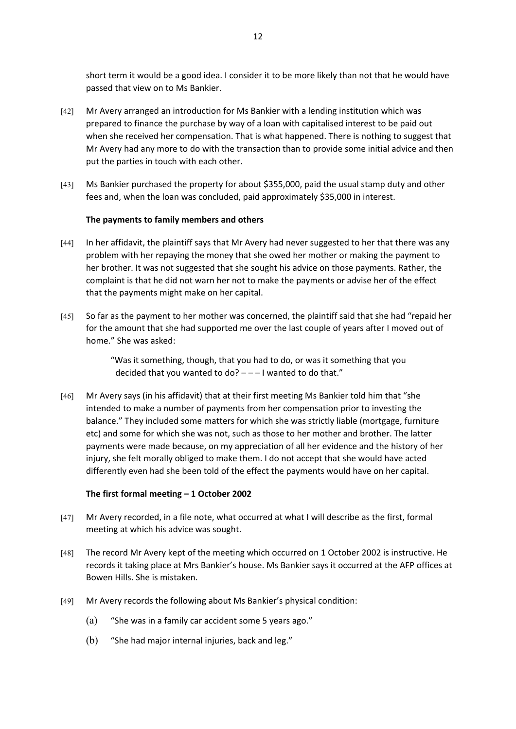short term it would be a good idea. I consider it to be more likely than not that he would have passed that view on to Ms Bankier.

- [42] Mr Avery arranged an introduction for Ms Bankier with a lending institution which was prepared to finance the purchase by way of a loan with capitalised interest to be paid out when she received her compensation. That is what happened. There is nothing to suggest that Mr Avery had any more to do with the transaction than to provide some initial advice and then put the parties in touch with each other.
- [43] Ms Bankier purchased the property for about \$355,000, paid the usual stamp duty and other fees and, when the loan was concluded, paid approximately \$35,000 in interest.

## **The payments to family members and others**

- [44] In her affidavit, the plaintiff says that Mr Avery had never suggested to her that there was any problem with her repaying the money that she owed her mother or making the payment to her brother. It was not suggested that she sought his advice on those payments. Rather, the complaint is that he did not warn her not to make the payments or advise her of the effect that the payments might make on her capital.
- [45] So far as the payment to her mother was concerned, the plaintiff said that she had "repaid her for the amount that she had supported me over the last couple of years after I moved out of home." She was asked:

"Was it something, though, that you had to do, or was it something that you decided that you wanted to do? – – – I wanted to do that."

[46] Mr Avery says (in his affidavit) that at their first meeting Ms Bankier told him that "she intended to make a number of payments from her compensation prior to investing the balance." They included some matters for which she was strictly liable (mortgage, furniture etc) and some for which she was not, such as those to her mother and brother. The latter payments were made because, on my appreciation of all her evidence and the history of her injury, she felt morally obliged to make them. I do not accept that she would have acted differently even had she been told of the effect the payments would have on her capital.

## **The first formal meeting – 1 October 2002**

- [47] Mr Avery recorded, in a file note, what occurred at what I will describe as the first, formal meeting at which his advice was sought.
- [48] The record Mr Avery kept of the meeting which occurred on 1 October 2002 is instructive. He records it taking place at Mrs Bankier's house. Ms Bankier says it occurred at the AFP offices at Bowen Hills. She is mistaken.
- [49] Mr Avery records the following about Ms Bankier's physical condition:
	- (a) "She was in a family car accident some 5 years ago."
	- (b) "She had major internal injuries, back and leg."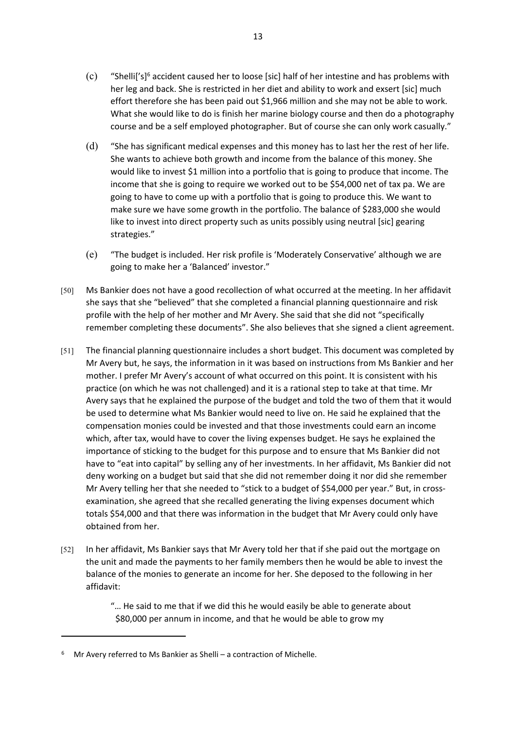- $(c)$  "Shelli['s]<sup>6</sup> accident caused her to loose [sic] half of her intestine and has problems with her leg and back. She is restricted in her diet and ability to work and exsert [sic] much effort therefore she has been paid out \$1,966 million and she may not be able to work. What she would like to do is finish her marine biology course and then do a photography course and be a self employed photographer. But of course she can only work casually."
- (d) "She has significant medical expenses and this money has to last her the rest of her life. She wants to achieve both growth and income from the balance of this money. She would like to invest \$1 million into a portfolio that is going to produce that income. The income that she is going to require we worked out to be \$54,000 net of tax pa. We are going to have to come up with a portfolio that is going to produce this. We want to make sure we have some growth in the portfolio. The balance of \$283,000 she would like to invest into direct property such as units possibly using neutral [sic] gearing strategies."
- (e) "The budget is included. Her risk profile is 'Moderately Conservative' although we are going to make her a 'Balanced' investor."
- [50] Ms Bankier does not have a good recollection of what occurred at the meeting. In her affidavit she says that she "believed" that she completed a financial planning questionnaire and risk profile with the help of her mother and Mr Avery. She said that she did not "specifically remember completing these documents". She also believes that she signed a client agreement.
- [51] The financial planning questionnaire includes a short budget. This document was completed by Mr Avery but, he says, the information in it was based on instructions from Ms Bankier and her mother. I prefer Mr Avery's account of what occurred on this point. It is consistent with his practice (on which he was not challenged) and it is a rational step to take at that time. Mr Avery says that he explained the purpose of the budget and told the two of them that it would be used to determine what Ms Bankier would need to live on. He said he explained that the compensation monies could be invested and that those investments could earn an income which, after tax, would have to cover the living expenses budget. He says he explained the importance of sticking to the budget for this purpose and to ensure that Ms Bankier did not have to "eat into capital" by selling any of her investments. In her affidavit, Ms Bankier did not deny working on a budget but said that she did not remember doing it nor did she remember Mr Avery telling her that she needed to "stick to a budget of \$54,000 per year." But, in crossexamination, she agreed that she recalled generating the living expenses document which totals \$54,000 and that there was information in the budget that Mr Avery could only have obtained from her.
- [52] In her affidavit, Ms Bankier says that Mr Avery told her that if she paid out the mortgage on the unit and made the payments to her family members then he would be able to invest the balance of the monies to generate an income for her. She deposed to the following in her affidavit:

"… He said to me that if we did this he would easily be able to generate about \$80,000 per annum in income, and that he would be able to grow my

<sup>&</sup>lt;sup>6</sup> Mr Avery referred to Ms Bankier as Shelli – a contraction of Michelle.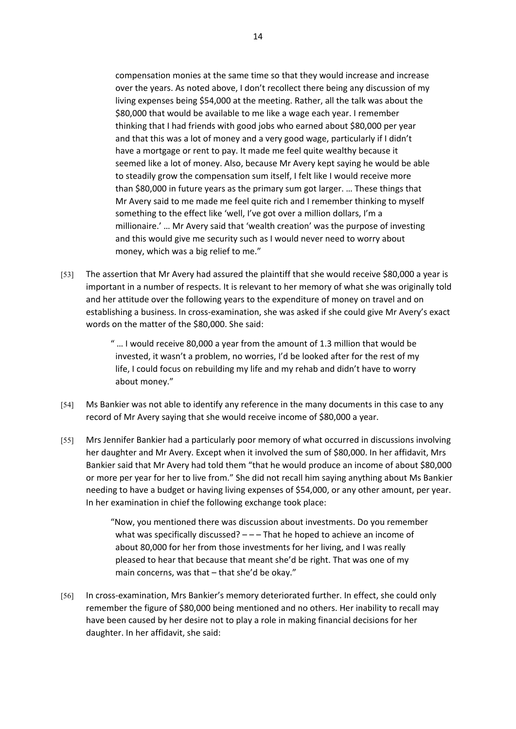compensation monies at the same time so that they would increase and increase over the years. As noted above, I don't recollect there being any discussion of my living expenses being \$54,000 at the meeting. Rather, all the talk was about the \$80,000 that would be available to me like a wage each year. I remember thinking that I had friends with good jobs who earned about \$80,000 per year and that this was a lot of money and a very good wage, particularly if I didn't have a mortgage or rent to pay. It made me feel quite wealthy because it seemed like a lot of money. Also, because Mr Avery kept saying he would be able to steadily grow the compensation sum itself, I felt like I would receive more than \$80,000 in future years as the primary sum got larger. … These things that Mr Avery said to me made me feel quite rich and I remember thinking to myself something to the effect like 'well, I've got over a million dollars, I'm a millionaire.' … Mr Avery said that 'wealth creation' was the purpose of investing and this would give me security such as I would never need to worry about money, which was a big relief to me."

[53] The assertion that Mr Avery had assured the plaintiff that she would receive \$80,000 a year is important in a number of respects. It is relevant to her memory of what she was originally told and her attitude over the following years to the expenditure of money on travel and on establishing a business. In cross-examination, she was asked if she could give Mr Avery's exact words on the matter of the \$80,000. She said:

> " … I would receive 80,000 a year from the amount of 1.3 million that would be invested, it wasn't a problem, no worries, I'd be looked after for the rest of my life, I could focus on rebuilding my life and my rehab and didn't have to worry about money."

- [54] Ms Bankier was not able to identify any reference in the many documents in this case to any record of Mr Avery saying that she would receive income of \$80,000 a year.
- [55] Mrs Jennifer Bankier had a particularly poor memory of what occurred in discussions involving her daughter and Mr Avery. Except when it involved the sum of \$80,000. In her affidavit, Mrs Bankier said that Mr Avery had told them "that he would produce an income of about \$80,000 or more per year for her to live from." She did not recall him saying anything about Ms Bankier needing to have a budget or having living expenses of \$54,000, or any other amount, per year. In her examination in chief the following exchange took place:

"Now, you mentioned there was discussion about investments. Do you remember what was specifically discussed?  $---$  That he hoped to achieve an income of about 80,000 for her from those investments for her living, and I was really pleased to hear that because that meant she'd be right. That was one of my main concerns, was that – that she'd be okay."

[56] In cross-examination, Mrs Bankier's memory deteriorated further. In effect, she could only remember the figure of \$80,000 being mentioned and no others. Her inability to recall may have been caused by her desire not to play a role in making financial decisions for her daughter. In her affidavit, she said: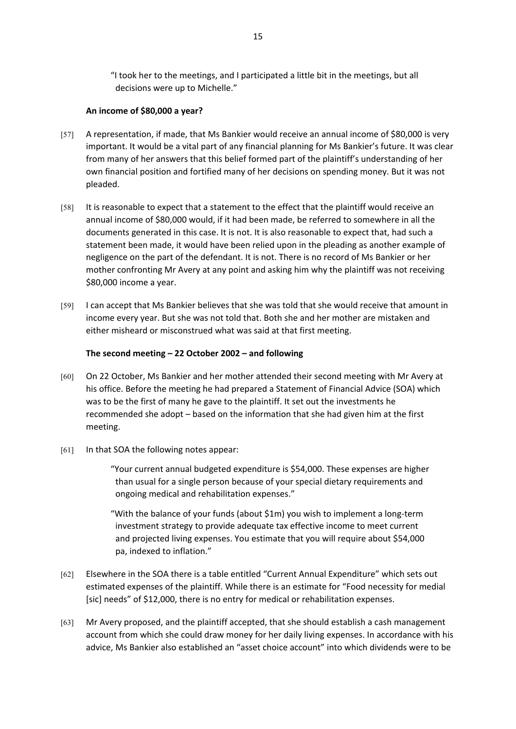"I took her to the meetings, and I participated a little bit in the meetings, but all decisions were up to Michelle."

## **An income of \$80,000 a year?**

- [57] A representation, if made, that Ms Bankier would receive an annual income of \$80,000 is very important. It would be a vital part of any financial planning for Ms Bankier's future. It was clear from many of her answers that this belief formed part of the plaintiff's understanding of her own financial position and fortified many of her decisions on spending money. But it was not pleaded.
- [58] It is reasonable to expect that a statement to the effect that the plaintiff would receive an annual income of \$80,000 would, if it had been made, be referred to somewhere in all the documents generated in this case. It is not. It is also reasonable to expect that, had such a statement been made, it would have been relied upon in the pleading as another example of negligence on the part of the defendant. It is not. There is no record of Ms Bankier or her mother confronting Mr Avery at any point and asking him why the plaintiff was not receiving \$80,000 income a year.
- [59] I can accept that Ms Bankier believes that she was told that she would receive that amount in income every year. But she was not told that. Both she and her mother are mistaken and either misheard or misconstrued what was said at that first meeting.

## **The second meeting – 22 October 2002 – and following**

- [60] On 22 October, Ms Bankier and her mother attended their second meeting with Mr Avery at his office. Before the meeting he had prepared a Statement of Financial Advice (SOA) which was to be the first of many he gave to the plaintiff. It set out the investments he recommended she adopt – based on the information that she had given him at the first meeting.
- [61] In that SOA the following notes appear:

"Your current annual budgeted expenditure is \$54,000. These expenses are higher than usual for a single person because of your special dietary requirements and ongoing medical and rehabilitation expenses."

"With the balance of your funds (about \$1m) you wish to implement a long-term investment strategy to provide adequate tax effective income to meet current and projected living expenses. You estimate that you will require about \$54,000 pa, indexed to inflation."

- [62] Elsewhere in the SOA there is a table entitled "Current Annual Expenditure" which sets out estimated expenses of the plaintiff. While there is an estimate for "Food necessity for medial [sic] needs" of \$12,000, there is no entry for medical or rehabilitation expenses.
- [63] Mr Avery proposed, and the plaintiff accepted, that she should establish a cash management account from which she could draw money for her daily living expenses. In accordance with his advice, Ms Bankier also established an "asset choice account" into which dividends were to be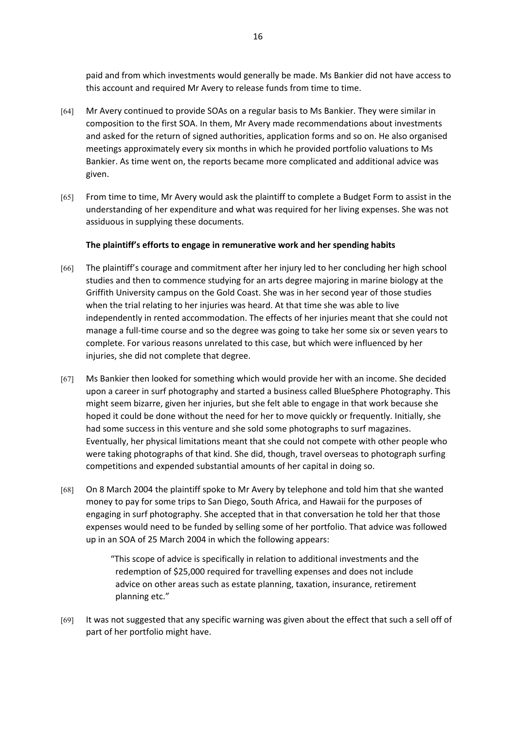paid and from which investments would generally be made. Ms Bankier did not have access to this account and required Mr Avery to release funds from time to time.

- [64] Mr Avery continued to provide SOAs on a regular basis to Ms Bankier. They were similar in composition to the first SOA. In them, Mr Avery made recommendations about investments and asked for the return of signed authorities, application forms and so on. He also organised meetings approximately every six months in which he provided portfolio valuations to Ms Bankier. As time went on, the reports became more complicated and additional advice was given.
- [65] From time to time, Mr Avery would ask the plaintiff to complete a Budget Form to assist in the understanding of her expenditure and what was required for her living expenses. She was not assiduous in supplying these documents.

## **The plaintiff's efforts to engage in remunerative work and her spending habits**

- [66] The plaintiff's courage and commitment after her injury led to her concluding her high school studies and then to commence studying for an arts degree majoring in marine biology at the Griffith University campus on the Gold Coast. She was in her second year of those studies when the trial relating to her injuries was heard. At that time she was able to live independently in rented accommodation. The effects of her injuries meant that she could not manage a full-time course and so the degree was going to take her some six or seven years to complete. For various reasons unrelated to this case, but which were influenced by her injuries, she did not complete that degree.
- [67] Ms Bankier then looked for something which would provide her with an income. She decided upon a career in surf photography and started a business called BlueSphere Photography. This might seem bizarre, given her injuries, but she felt able to engage in that work because she hoped it could be done without the need for her to move quickly or frequently. Initially, she had some success in this venture and she sold some photographs to surf magazines. Eventually, her physical limitations meant that she could not compete with other people who were taking photographs of that kind. She did, though, travel overseas to photograph surfing competitions and expended substantial amounts of her capital in doing so.
- [68] On 8 March 2004 the plaintiff spoke to Mr Avery by telephone and told him that she wanted money to pay for some trips to San Diego, South Africa, and Hawaii for the purposes of engaging in surf photography. She accepted that in that conversation he told her that those expenses would need to be funded by selling some of her portfolio. That advice was followed up in an SOA of 25 March 2004 in which the following appears:

"This scope of advice is specifically in relation to additional investments and the redemption of \$25,000 required for travelling expenses and does not include advice on other areas such as estate planning, taxation, insurance, retirement planning etc."

[69] It was not suggested that any specific warning was given about the effect that such a sell off of part of her portfolio might have.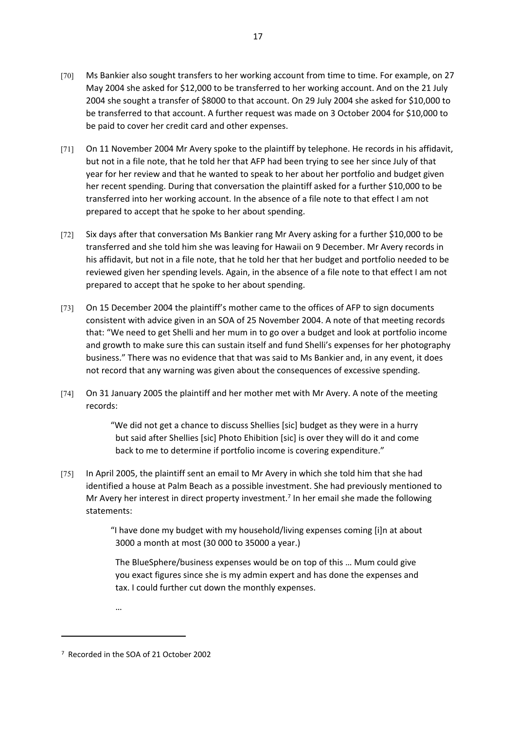- [70] Ms Bankier also sought transfers to her working account from time to time. For example, on 27 May 2004 she asked for \$12,000 to be transferred to her working account. And on the 21 July 2004 she sought a transfer of \$8000 to that account. On 29 July 2004 she asked for \$10,000 to be transferred to that account. A further request was made on 3 October 2004 for \$10,000 to be paid to cover her credit card and other expenses.
- [71] On 11 November 2004 Mr Avery spoke to the plaintiff by telephone. He records in his affidavit, but not in a file note, that he told her that AFP had been trying to see her since July of that year for her review and that he wanted to speak to her about her portfolio and budget given her recent spending. During that conversation the plaintiff asked for a further \$10,000 to be transferred into her working account. In the absence of a file note to that effect I am not prepared to accept that he spoke to her about spending.
- [72] Six days after that conversation Ms Bankier rang Mr Avery asking for a further \$10,000 to be transferred and she told him she was leaving for Hawaii on 9 December. Mr Avery records in his affidavit, but not in a file note, that he told her that her budget and portfolio needed to be reviewed given her spending levels. Again, in the absence of a file note to that effect I am not prepared to accept that he spoke to her about spending.
- [73] On 15 December 2004 the plaintiff's mother came to the offices of AFP to sign documents consistent with advice given in an SOA of 25 November 2004. A note of that meeting records that: "We need to get Shelli and her mum in to go over a budget and look at portfolio income and growth to make sure this can sustain itself and fund Shelli's expenses for her photography business." There was no evidence that that was said to Ms Bankier and, in any event, it does not record that any warning was given about the consequences of excessive spending.
- [74] On 31 January 2005 the plaintiff and her mother met with Mr Avery. A note of the meeting records:

"We did not get a chance to discuss Shellies [sic] budget as they were in a hurry but said after Shellies [sic] Photo Ehibition [sic] is over they will do it and come back to me to determine if portfolio income is covering expenditure."

[75] In April 2005, the plaintiff sent an email to Mr Avery in which she told him that she had identified a house at Palm Beach as a possible investment. She had previously mentioned to Mr Avery her interest in direct property investment.<sup>7</sup> In her email she made the following statements:

> "I have done my budget with my household/living expenses coming [i]n at about 3000 a month at most (30 000 to 35000 a year.)

The BlueSphere/business expenses would be on top of this … Mum could give you exact figures since she is my admin expert and has done the expenses and tax. I could further cut down the monthly expenses.

…

<sup>7</sup> Recorded in the SOA of 21 October 2002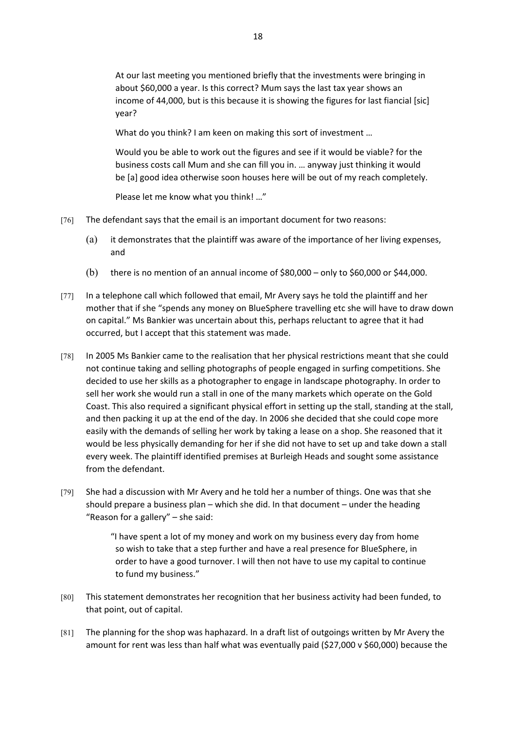At our last meeting you mentioned briefly that the investments were bringing in about \$60,000 a year. Is this correct? Mum says the last tax year shows an income of 44,000, but is this because it is showing the figures for last fiancial [sic] year?

What do you think? I am keen on making this sort of investment …

Would you be able to work out the figures and see if it would be viable? for the business costs call Mum and she can fill you in. … anyway just thinking it would be [a] good idea otherwise soon houses here will be out of my reach completely.

Please let me know what you think! …"

- [76] The defendant says that the email is an important document for two reasons:
	- (a) it demonstrates that the plaintiff was aware of the importance of her living expenses, and
	- (b) there is no mention of an annual income of  $$80,000$  only to  $$60,000$  or  $$44,000$ .
- [77] In a telephone call which followed that email, Mr Avery says he told the plaintiff and her mother that if she "spends any money on BlueSphere travelling etc she will have to draw down on capital." Ms Bankier was uncertain about this, perhaps reluctant to agree that it had occurred, but I accept that this statement was made.
- [78] In 2005 Ms Bankier came to the realisation that her physical restrictions meant that she could not continue taking and selling photographs of people engaged in surfing competitions. She decided to use her skills as a photographer to engage in landscape photography. In order to sell her work she would run a stall in one of the many markets which operate on the Gold Coast. This also required a significant physical effort in setting up the stall, standing at the stall, and then packing it up at the end of the day. In 2006 she decided that she could cope more easily with the demands of selling her work by taking a lease on a shop. She reasoned that it would be less physically demanding for her if she did not have to set up and take down a stall every week. The plaintiff identified premises at Burleigh Heads and sought some assistance from the defendant.
- [79] She had a discussion with Mr Avery and he told her a number of things. One was that she should prepare a business plan – which she did. In that document – under the heading "Reason for a gallery" – she said:

"I have spent a lot of my money and work on my business every day from home so wish to take that a step further and have a real presence for BlueSphere, in order to have a good turnover. I will then not have to use my capital to continue to fund my business."

- [80] This statement demonstrates her recognition that her business activity had been funded, to that point, out of capital.
- [81] The planning for the shop was haphazard. In a draft list of outgoings written by Mr Avery the amount for rent was less than half what was eventually paid (\$27,000 v \$60,000) because the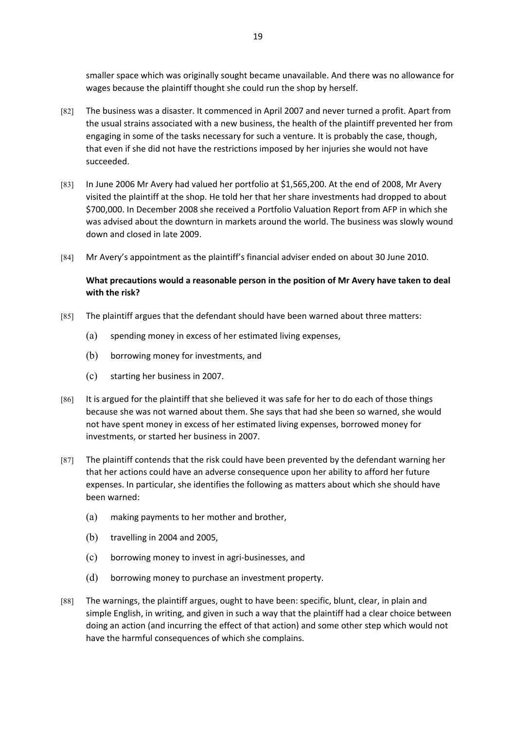smaller space which was originally sought became unavailable. And there was no allowance for wages because the plaintiff thought she could run the shop by herself.

- [82] The business was a disaster. It commenced in April 2007 and never turned a profit. Apart from the usual strains associated with a new business, the health of the plaintiff prevented her from engaging in some of the tasks necessary for such a venture. It is probably the case, though, that even if she did not have the restrictions imposed by her injuries she would not have succeeded.
- [83] In June 2006 Mr Avery had valued her portfolio at \$1,565,200. At the end of 2008, Mr Avery visited the plaintiff at the shop. He told her that her share investments had dropped to about \$700,000. In December 2008 she received a Portfolio Valuation Report from AFP in which she was advised about the downturn in markets around the world. The business was slowly wound down and closed in late 2009.
- [84] Mr Avery's appointment as the plaintiff's financial adviser ended on about 30 June 2010.

# **What precautions would a reasonable person in the position of Mr Avery have taken to deal with the risk?**

- [85] The plaintiff argues that the defendant should have been warned about three matters:
	- (a) spending money in excess of her estimated living expenses,
	- (b) borrowing money for investments, and
	- (c) starting her business in 2007.
- [86] It is argued for the plaintiff that she believed it was safe for her to do each of those things because she was not warned about them. She says that had she been so warned, she would not have spent money in excess of her estimated living expenses, borrowed money for investments, or started her business in 2007.
- [87] The plaintiff contends that the risk could have been prevented by the defendant warning her that her actions could have an adverse consequence upon her ability to afford her future expenses. In particular, she identifies the following as matters about which she should have been warned:
	- (a) making payments to her mother and brother,
	- (b) travelling in 2004 and 2005,
	- (c) borrowing money to invest in agri-businesses, and
	- (d) borrowing money to purchase an investment property.
- [88] The warnings, the plaintiff argues, ought to have been: specific, blunt, clear, in plain and simple English, in writing, and given in such a way that the plaintiff had a clear choice between doing an action (and incurring the effect of that action) and some other step which would not have the harmful consequences of which she complains.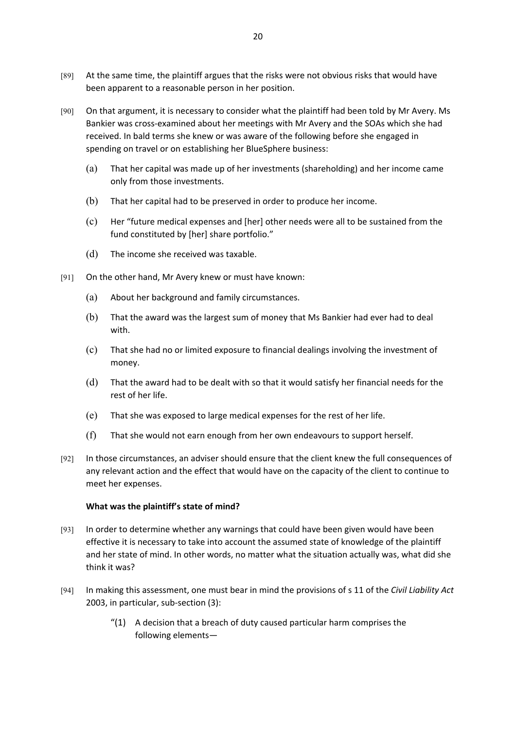- [89] At the same time, the plaintiff argues that the risks were not obvious risks that would have been apparent to a reasonable person in her position.
- [90] On that argument, it is necessary to consider what the plaintiff had been told by Mr Avery. Ms Bankier was cross-examined about her meetings with Mr Avery and the SOAs which she had received. In bald terms she knew or was aware of the following before she engaged in spending on travel or on establishing her BlueSphere business:
	- (a) That her capital was made up of her investments (shareholding) and her income came only from those investments.
	- (b) That her capital had to be preserved in order to produce her income.
	- (c) Her "future medical expenses and [her] other needs were all to be sustained from the fund constituted by [her] share portfolio."
	- (d) The income she received was taxable.
- [91] On the other hand, Mr Avery knew or must have known:
	- (a) About her background and family circumstances.
	- (b) That the award was the largest sum of money that Ms Bankier had ever had to deal with.
	- (c) That she had no or limited exposure to financial dealings involving the investment of money.
	- (d) That the award had to be dealt with so that it would satisfy her financial needs for the rest of her life.
	- (e) That she was exposed to large medical expenses for the rest of her life.
	- (f) That she would not earn enough from her own endeavours to support herself.
- [92] In those circumstances, an adviser should ensure that the client knew the full consequences of any relevant action and the effect that would have on the capacity of the client to continue to meet her expenses.

#### **What was the plaintiff's state of mind?**

- [93] In order to determine whether any warnings that could have been given would have been effective it is necessary to take into account the assumed state of knowledge of the plaintiff and her state of mind. In other words, no matter what the situation actually was, what did she think it was?
- [94] In making this assessment, one must bear in mind the provisions of s 11 of the *Civil Liability Act* 2003, in particular, sub-section (3):
	- $''(1)$  A decision that a breach of duty caused particular harm comprises the following elements—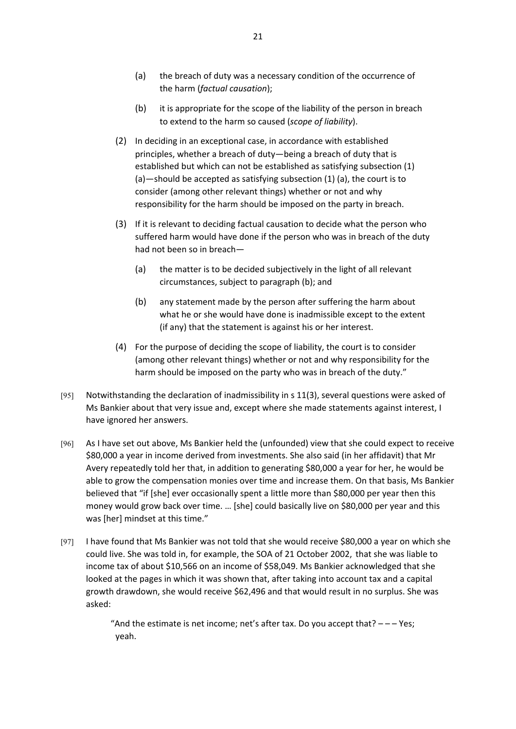- (a) the breach of duty was a necessary condition of the occurrence of the harm (*factual causation*);
- (b) it is appropriate for the scope of the liability of the person in breach to extend to the harm so caused (*scope of liability*).
- (2) In deciding in an exceptional case, in accordance with established principles, whether a breach of duty—being a breach of duty that is established but which can not be established as satisfying subsection (1) (a)—should be accepted as satisfying subsection (1) (a), the court is to consider (among other relevant things) whether or not and why responsibility for the harm should be imposed on the party in breach.
- (3) If it is relevant to deciding factual causation to decide what the person who suffered harm would have done if the person who was in breach of the duty had not been so in breach—
	- (a) the matter is to be decided subjectively in the light of all relevant circumstances, subject to paragraph (b); and
	- (b) any statement made by the person after suffering the harm about what he or she would have done is inadmissible except to the extent (if any) that the statement is against his or her interest.
- (4) For the purpose of deciding the scope of liability, the court is to consider (among other relevant things) whether or not and why responsibility for the harm should be imposed on the party who was in breach of the duty."
- [95] Notwithstanding the declaration of inadmissibility in s 11(3), several questions were asked of Ms Bankier about that very issue and, except where she made statements against interest, I have ignored her answers.
- [96] As I have set out above, Ms Bankier held the (unfounded) view that she could expect to receive \$80,000 a year in income derived from investments. She also said (in her affidavit) that Mr Avery repeatedly told her that, in addition to generating \$80,000 a year for her, he would be able to grow the compensation monies over time and increase them. On that basis, Ms Bankier believed that "if [she] ever occasionally spent a little more than \$80,000 per year then this money would grow back over time. … [she] could basically live on \$80,000 per year and this was [her] mindset at this time."
- [97] I have found that Ms Bankier was not told that she would receive \$80,000 a year on which she could live. She was told in, for example, the SOA of 21 October 2002, that she was liable to income tax of about \$10,566 on an income of \$58,049. Ms Bankier acknowledged that she looked at the pages in which it was shown that, after taking into account tax and a capital growth drawdown, she would receive \$62,496 and that would result in no surplus. She was asked:

"And the estimate is net income; net's after tax. Do you accept that?  $- -$  Yes; yeah.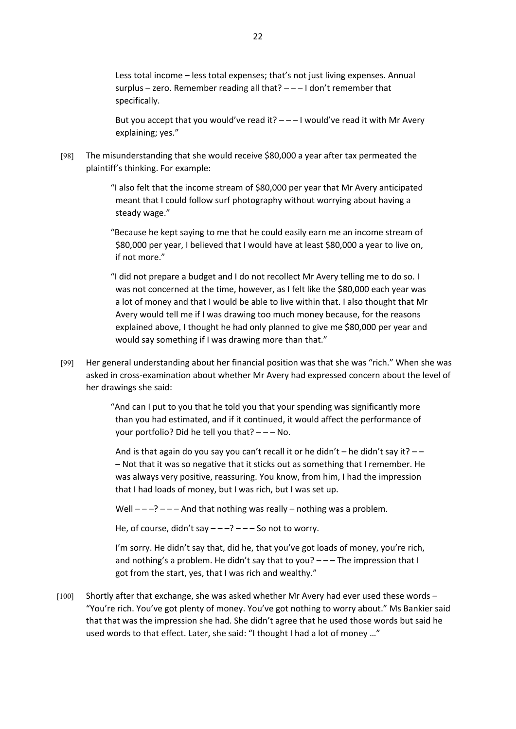Less total income – less total expenses; that's not just living expenses. Annual surplus – zero. Remember reading all that? – – – I don't remember that specifically.

But you accept that you would've read it?  $- - 1$  would've read it with Mr Avery explaining; yes."

[98] The misunderstanding that she would receive \$80,000 a year after tax permeated the plaintiff's thinking. For example:

> "I also felt that the income stream of \$80,000 per year that Mr Avery anticipated meant that I could follow surf photography without worrying about having a steady wage."

> "Because he kept saying to me that he could easily earn me an income stream of \$80,000 per year, I believed that I would have at least \$80,000 a year to live on, if not more."

"I did not prepare a budget and I do not recollect Mr Avery telling me to do so. I was not concerned at the time, however, as I felt like the \$80,000 each year was a lot of money and that I would be able to live within that. I also thought that Mr Avery would tell me if I was drawing too much money because, for the reasons explained above, I thought he had only planned to give me \$80,000 per year and would say something if I was drawing more than that."

[99] Her general understanding about her financial position was that she was "rich." When she was asked in cross-examination about whether Mr Avery had expressed concern about the level of her drawings she said:

> "And can I put to you that he told you that your spending was significantly more than you had estimated, and if it continued, it would affect the performance of your portfolio? Did he tell you that? – – – No.

And is that again do you say you can't recall it or he didn't – he didn't say it?  $-$ – Not that it was so negative that it sticks out as something that I remember. He was always very positive, reassuring. You know, from him, I had the impression that I had loads of money, but I was rich, but I was set up.

Well  $---$ ?  $---$  And that nothing was really  $---$  nothing was a problem.

He, of course, didn't say  $---$ ?  $---$  So not to worry.

I'm sorry. He didn't say that, did he, that you've got loads of money, you're rich, and nothing's a problem. He didn't say that to you?  $---$  The impression that I got from the start, yes, that I was rich and wealthy."

[100] Shortly after that exchange, she was asked whether Mr Avery had ever used these words – "You're rich. You've got plenty of money. You've got nothing to worry about." Ms Bankier said that that was the impression she had. She didn't agree that he used those words but said he used words to that effect. Later, she said: "I thought I had a lot of money …"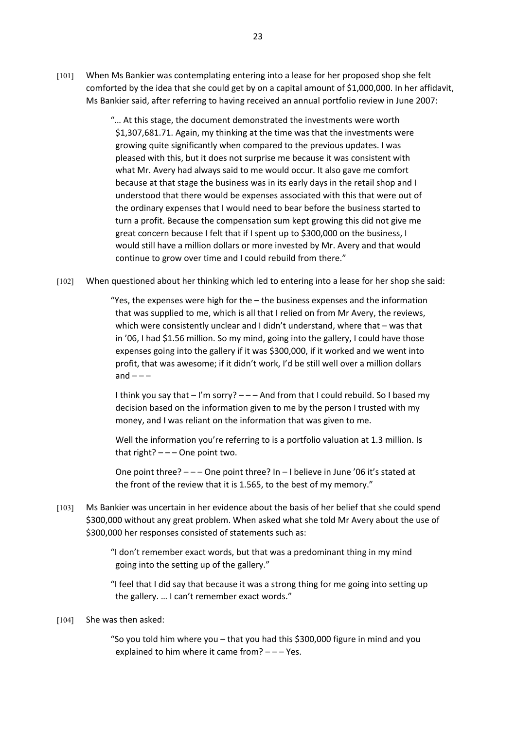[101] When Ms Bankier was contemplating entering into a lease for her proposed shop she felt comforted by the idea that she could get by on a capital amount of \$1,000,000. In her affidavit, Ms Bankier said, after referring to having received an annual portfolio review in June 2007:

> "… At this stage, the document demonstrated the investments were worth \$1,307,681.71. Again, my thinking at the time was that the investments were growing quite significantly when compared to the previous updates. I was pleased with this, but it does not surprise me because it was consistent with what Mr. Avery had always said to me would occur. It also gave me comfort because at that stage the business was in its early days in the retail shop and I understood that there would be expenses associated with this that were out of the ordinary expenses that I would need to bear before the business started to turn a profit. Because the compensation sum kept growing this did not give me great concern because I felt that if I spent up to \$300,000 on the business, I would still have a million dollars or more invested by Mr. Avery and that would continue to grow over time and I could rebuild from there."

[102] When questioned about her thinking which led to entering into a lease for her shop she said:

"Yes, the expenses were high for the – the business expenses and the information that was supplied to me, which is all that I relied on from Mr Avery, the reviews, which were consistently unclear and I didn't understand, where that – was that in '06, I had \$1.56 million. So my mind, going into the gallery, I could have those expenses going into the gallery if it was \$300,000, if it worked and we went into profit, that was awesome; if it didn't work, I'd be still well over a million dollars and  $---$ 

I think you say that  $-1'm$  sorry?  $-$  And from that I could rebuild. So I based my decision based on the information given to me by the person I trusted with my money, and I was reliant on the information that was given to me.

Well the information you're referring to is a portfolio valuation at 1.3 million. Is that right?  $---$  One point two.

One point three?  $---$  One point three? In  $-$  I believe in June '06 it's stated at the front of the review that it is 1.565, to the best of my memory."

[103] Ms Bankier was uncertain in her evidence about the basis of her belief that she could spend \$300,000 without any great problem. When asked what she told Mr Avery about the use of \$300,000 her responses consisted of statements such as:

> "I don't remember exact words, but that was a predominant thing in my mind going into the setting up of the gallery."

"I feel that I did say that because it was a strong thing for me going into setting up the gallery. … I can't remember exact words."

#### [104] She was then asked:

"So you told him where you – that you had this \$300,000 figure in mind and you explained to him where it came from? – – – Yes.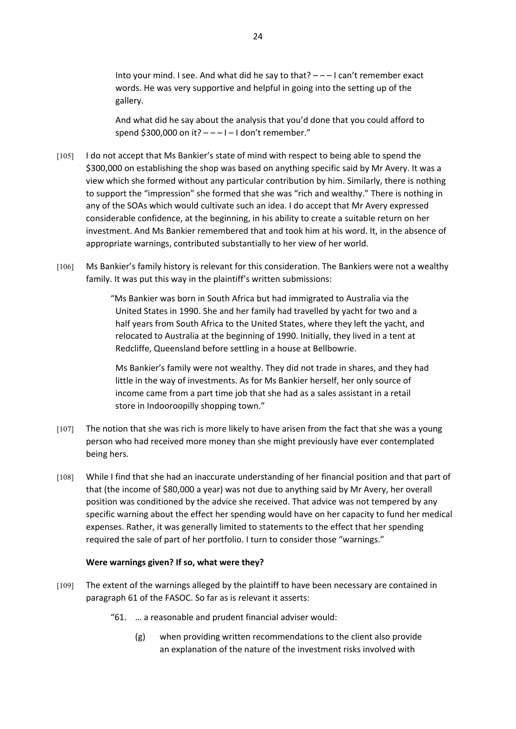Into your mind. I see. And what did he say to that?  $---$  I can't remember exact words. He was very supportive and helpful in going into the setting up of the gallery.

And what did he say about the analysis that you'd done that you could afford to spend \$300,000 on it?  $---1-1$  don't remember."

- [105] I do not accept that Ms Bankier's state of mind with respect to being able to spend the \$300,000 on establishing the shop was based on anything specific said by Mr Avery. It was a view which she formed without any particular contribution by him. Similarly, there is nothing to support the "impression" she formed that she was "rich and wealthy." There is nothing in any of the SOAs which would cultivate such an idea. I do accept that Mr Avery expressed considerable confidence, at the beginning, in his ability to create a suitable return on her investment. And Ms Bankier remembered that and took him at his word. It, in the absence of appropriate warnings, contributed substantially to her view of her world.
- [106] Ms Bankier's family history is relevant for this consideration. The Bankiers were not a wealthy family. It was put this way in the plaintiff's written submissions:

"Ms Bankier was born in South Africa but had immigrated to Australia via the United States in 1990. She and her family had travelled by yacht for two and a half years from South Africa to the United States, where they left the yacht, and relocated to Australia at the beginning of 1990. Initially, they lived in a tent at Redcliffe, Queensland before settling in a house at Bellbowrie.

Ms Bankier's family were not wealthy. They did not trade in shares, and they had little in the way of investments. As for Ms Bankier herself, her only source of income came from a part time job that she had as a sales assistant in a retail store in Indooroopilly shopping town."

- [107] The notion that she was rich is more likely to have arisen from the fact that she was a young person who had received more money than she might previously have ever contemplated being hers.
- [108] While I find that she had an inaccurate understanding of her financial position and that part of that (the income of \$80,000 a year) was not due to anything said by Mr Avery, her overall position was conditioned by the advice she received. That advice was not tempered by any specific warning about the effect her spending would have on her capacity to fund her medical expenses. Rather, it was generally limited to statements to the effect that her spending required the sale of part of her portfolio. I turn to consider those "warnings."

#### **Were warnings given? If so, what were they?**

- [109] The extent of the warnings alleged by the plaintiff to have been necessary are contained in paragraph 61 of the FASOC. So far as is relevant it asserts:
	- "61. … a reasonable and prudent financial adviser would:
		- (g) when providing written recommendations to the client also provide an explanation of the nature of the investment risks involved with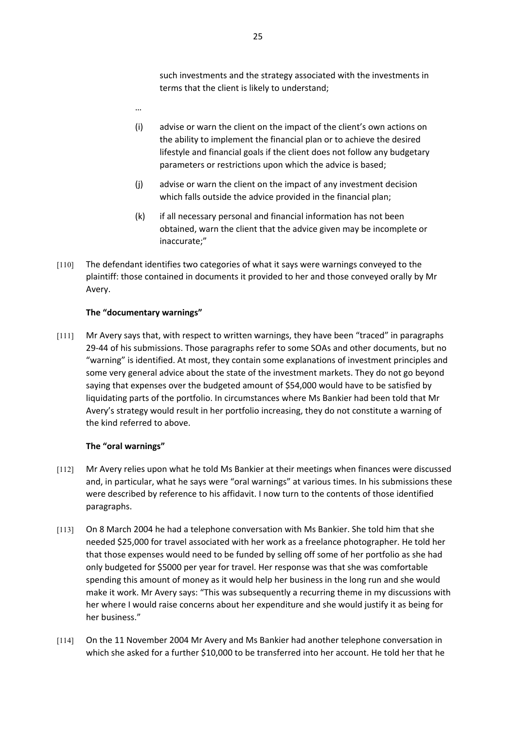such investments and the strategy associated with the investments in terms that the client is likely to understand;

- …
- (i) advise or warn the client on the impact of the client's own actions on the ability to implement the financial plan or to achieve the desired lifestyle and financial goals if the client does not follow any budgetary parameters or restrictions upon which the advice is based;
- (j) advise or warn the client on the impact of any investment decision which falls outside the advice provided in the financial plan;
- (k) if all necessary personal and financial information has not been obtained, warn the client that the advice given may be incomplete or inaccurate;"
- [110] The defendant identifies two categories of what it says were warnings conveyed to the plaintiff: those contained in documents it provided to her and those conveyed orally by Mr Avery.

## **The "documentary warnings"**

[111] Mr Avery says that, with respect to written warnings, they have been "traced" in paragraphs 29-44 of his submissions. Those paragraphs refer to some SOAs and other documents, but no "warning" is identified. At most, they contain some explanations of investment principles and some very general advice about the state of the investment markets. They do not go beyond saying that expenses over the budgeted amount of \$54,000 would have to be satisfied by liquidating parts of the portfolio. In circumstances where Ms Bankier had been told that Mr Avery's strategy would result in her portfolio increasing, they do not constitute a warning of the kind referred to above.

## **The "oral warnings"**

- [112] Mr Avery relies upon what he told Ms Bankier at their meetings when finances were discussed and, in particular, what he says were "oral warnings" at various times. In his submissions these were described by reference to his affidavit. I now turn to the contents of those identified paragraphs.
- [113] On 8 March 2004 he had a telephone conversation with Ms Bankier. She told him that she needed \$25,000 for travel associated with her work as a freelance photographer. He told her that those expenses would need to be funded by selling off some of her portfolio as she had only budgeted for \$5000 per year for travel. Her response was that she was comfortable spending this amount of money as it would help her business in the long run and she would make it work. Mr Avery says: "This was subsequently a recurring theme in my discussions with her where I would raise concerns about her expenditure and she would justify it as being for her business."
- [114] On the 11 November 2004 Mr Avery and Ms Bankier had another telephone conversation in which she asked for a further \$10,000 to be transferred into her account. He told her that he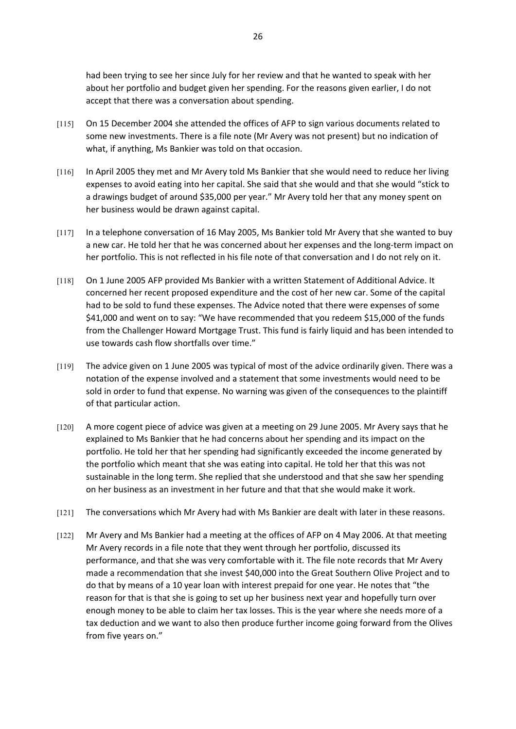had been trying to see her since July for her review and that he wanted to speak with her about her portfolio and budget given her spending. For the reasons given earlier, I do not accept that there was a conversation about spending.

- [115] On 15 December 2004 she attended the offices of AFP to sign various documents related to some new investments. There is a file note (Mr Avery was not present) but no indication of what, if anything, Ms Bankier was told on that occasion.
- [116] In April 2005 they met and Mr Avery told Ms Bankier that she would need to reduce her living expenses to avoid eating into her capital. She said that she would and that she would "stick to a drawings budget of around \$35,000 per year." Mr Avery told her that any money spent on her business would be drawn against capital.
- [117] In a telephone conversation of 16 May 2005, Ms Bankier told Mr Avery that she wanted to buy a new car. He told her that he was concerned about her expenses and the long-term impact on her portfolio. This is not reflected in his file note of that conversation and I do not rely on it.
- [118] On 1 June 2005 AFP provided Ms Bankier with a written Statement of Additional Advice. It concerned her recent proposed expenditure and the cost of her new car. Some of the capital had to be sold to fund these expenses. The Advice noted that there were expenses of some \$41,000 and went on to say: "We have recommended that you redeem \$15,000 of the funds from the Challenger Howard Mortgage Trust. This fund is fairly liquid and has been intended to use towards cash flow shortfalls over time."
- [119] The advice given on 1 June 2005 was typical of most of the advice ordinarily given. There was a notation of the expense involved and a statement that some investments would need to be sold in order to fund that expense. No warning was given of the consequences to the plaintiff of that particular action.
- [120] A more cogent piece of advice was given at a meeting on 29 June 2005. Mr Avery says that he explained to Ms Bankier that he had concerns about her spending and its impact on the portfolio. He told her that her spending had significantly exceeded the income generated by the portfolio which meant that she was eating into capital. He told her that this was not sustainable in the long term. She replied that she understood and that she saw her spending on her business as an investment in her future and that that she would make it work.
- [121] The conversations which Mr Avery had with Ms Bankier are dealt with later in these reasons.
- [122] Mr Avery and Ms Bankier had a meeting at the offices of AFP on 4 May 2006. At that meeting Mr Avery records in a file note that they went through her portfolio, discussed its performance, and that she was very comfortable with it. The file note records that Mr Avery made a recommendation that she invest \$40,000 into the Great Southern Olive Project and to do that by means of a 10 year loan with interest prepaid for one year. He notes that "the reason for that is that she is going to set up her business next year and hopefully turn over enough money to be able to claim her tax losses. This is the year where she needs more of a tax deduction and we want to also then produce further income going forward from the Olives from five years on."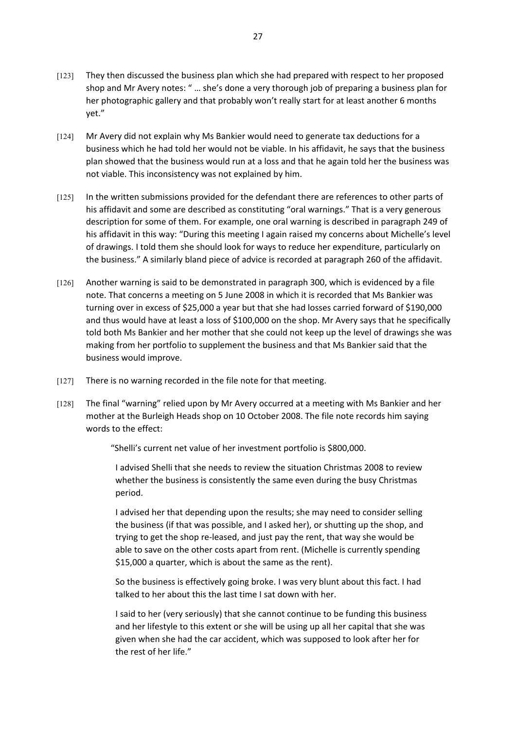- [123] They then discussed the business plan which she had prepared with respect to her proposed shop and Mr Avery notes: " … she's done a very thorough job of preparing a business plan for her photographic gallery and that probably won't really start for at least another 6 months yet."
- [124] Mr Avery did not explain why Ms Bankier would need to generate tax deductions for a business which he had told her would not be viable. In his affidavit, he says that the business plan showed that the business would run at a loss and that he again told her the business was not viable. This inconsistency was not explained by him.
- [125] In the written submissions provided for the defendant there are references to other parts of his affidavit and some are described as constituting "oral warnings." That is a very generous description for some of them. For example, one oral warning is described in paragraph 249 of his affidavit in this way: "During this meeting I again raised my concerns about Michelle's level of drawings. I told them she should look for ways to reduce her expenditure, particularly on the business." A similarly bland piece of advice is recorded at paragraph 260 of the affidavit.
- [126] Another warning is said to be demonstrated in paragraph 300, which is evidenced by a file note. That concerns a meeting on 5 June 2008 in which it is recorded that Ms Bankier was turning over in excess of \$25,000 a year but that she had losses carried forward of \$190,000 and thus would have at least a loss of \$100,000 on the shop. Mr Avery says that he specifically told both Ms Bankier and her mother that she could not keep up the level of drawings she was making from her portfolio to supplement the business and that Ms Bankier said that the business would improve.
- [127] There is no warning recorded in the file note for that meeting.
- [128] The final "warning" relied upon by Mr Avery occurred at a meeting with Ms Bankier and her mother at the Burleigh Heads shop on 10 October 2008. The file note records him saying words to the effect:

"Shelli's current net value of her investment portfolio is \$800,000.

I advised Shelli that she needs to review the situation Christmas 2008 to review whether the business is consistently the same even during the busy Christmas period.

I advised her that depending upon the results; she may need to consider selling the business (if that was possible, and I asked her), or shutting up the shop, and trying to get the shop re-leased, and just pay the rent, that way she would be able to save on the other costs apart from rent. (Michelle is currently spending \$15,000 a quarter, which is about the same as the rent).

So the business is effectively going broke. I was very blunt about this fact. I had talked to her about this the last time I sat down with her.

I said to her (very seriously) that she cannot continue to be funding this business and her lifestyle to this extent or she will be using up all her capital that she was given when she had the car accident, which was supposed to look after her for the rest of her life."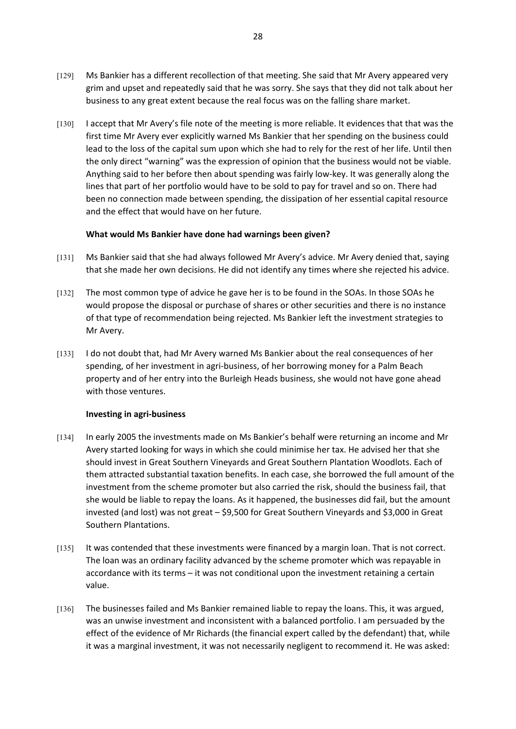- [129] Ms Bankier has a different recollection of that meeting. She said that Mr Avery appeared very grim and upset and repeatedly said that he was sorry. She says that they did not talk about her business to any great extent because the real focus was on the falling share market.
- [130] I accept that Mr Avery's file note of the meeting is more reliable. It evidences that that was the first time Mr Avery ever explicitly warned Ms Bankier that her spending on the business could lead to the loss of the capital sum upon which she had to rely for the rest of her life. Until then the only direct "warning" was the expression of opinion that the business would not be viable. Anything said to her before then about spending was fairly low-key. It was generally along the lines that part of her portfolio would have to be sold to pay for travel and so on. There had been no connection made between spending, the dissipation of her essential capital resource and the effect that would have on her future.

## **What would Ms Bankier have done had warnings been given?**

- [131] Ms Bankier said that she had always followed Mr Avery's advice. Mr Avery denied that, saying that she made her own decisions. He did not identify any times where she rejected his advice.
- [132] The most common type of advice he gave her is to be found in the SOAs. In those SOAs he would propose the disposal or purchase of shares or other securities and there is no instance of that type of recommendation being rejected. Ms Bankier left the investment strategies to Mr Avery.
- [133] I do not doubt that, had Mr Avery warned Ms Bankier about the real consequences of her spending, of her investment in agri-business, of her borrowing money for a Palm Beach property and of her entry into the Burleigh Heads business, she would not have gone ahead with those ventures.

#### **Investing in agri-business**

- [134] In early 2005 the investments made on Ms Bankier's behalf were returning an income and Mr Avery started looking for ways in which she could minimise her tax. He advised her that she should invest in Great Southern Vineyards and Great Southern Plantation Woodlots. Each of them attracted substantial taxation benefits. In each case, she borrowed the full amount of the investment from the scheme promoter but also carried the risk, should the business fail, that she would be liable to repay the loans. As it happened, the businesses did fail, but the amount invested (and lost) was not great – \$9,500 for Great Southern Vineyards and \$3,000 in Great Southern Plantations.
- [135] It was contended that these investments were financed by a margin loan. That is not correct. The loan was an ordinary facility advanced by the scheme promoter which was repayable in accordance with its terms – it was not conditional upon the investment retaining a certain value.
- [136] The businesses failed and Ms Bankier remained liable to repay the loans. This, it was argued, was an unwise investment and inconsistent with a balanced portfolio. I am persuaded by the effect of the evidence of Mr Richards (the financial expert called by the defendant) that, while it was a marginal investment, it was not necessarily negligent to recommend it. He was asked: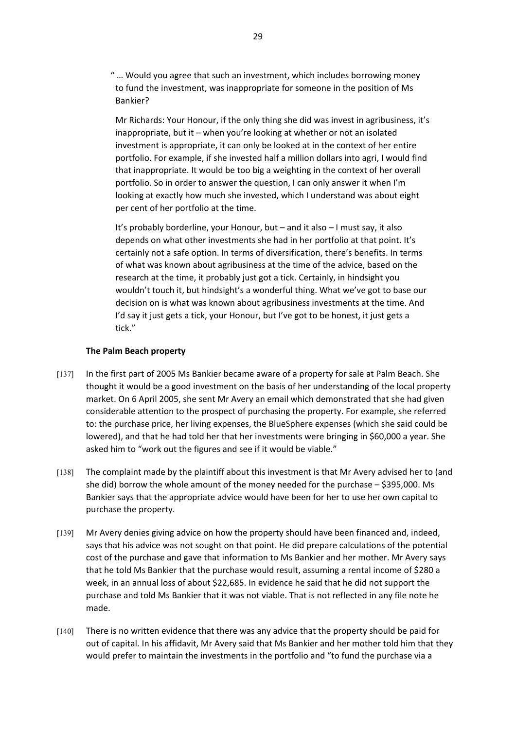" … Would you agree that such an investment, which includes borrowing money to fund the investment, was inappropriate for someone in the position of Ms Bankier?

Mr Richards: Your Honour, if the only thing she did was invest in agribusiness, it's inappropriate, but it – when you're looking at whether or not an isolated investment is appropriate, it can only be looked at in the context of her entire portfolio. For example, if she invested half a million dollars into agri, I would find that inappropriate. It would be too big a weighting in the context of her overall portfolio. So in order to answer the question, I can only answer it when I'm looking at exactly how much she invested, which I understand was about eight per cent of her portfolio at the time.

It's probably borderline, your Honour, but – and it also – I must say, it also depends on what other investments she had in her portfolio at that point. It's certainly not a safe option. In terms of diversification, there's benefits. In terms of what was known about agribusiness at the time of the advice, based on the research at the time, it probably just got a tick. Certainly, in hindsight you wouldn't touch it, but hindsight's a wonderful thing. What we've got to base our decision on is what was known about agribusiness investments at the time. And I'd say it just gets a tick, your Honour, but I've got to be honest, it just gets a tick."

## **The Palm Beach property**

- [137] In the first part of 2005 Ms Bankier became aware of a property for sale at Palm Beach. She thought it would be a good investment on the basis of her understanding of the local property market. On 6 April 2005, she sent Mr Avery an email which demonstrated that she had given considerable attention to the prospect of purchasing the property. For example, she referred to: the purchase price, her living expenses, the BlueSphere expenses (which she said could be lowered), and that he had told her that her investments were bringing in \$60,000 a year. She asked him to "work out the figures and see if it would be viable."
- [138] The complaint made by the plaintiff about this investment is that Mr Avery advised her to (and she did) borrow the whole amount of the money needed for the purchase  $-$  \$395,000. Ms Bankier says that the appropriate advice would have been for her to use her own capital to purchase the property.
- [139] Mr Avery denies giving advice on how the property should have been financed and, indeed, says that his advice was not sought on that point. He did prepare calculations of the potential cost of the purchase and gave that information to Ms Bankier and her mother. Mr Avery says that he told Ms Bankier that the purchase would result, assuming a rental income of \$280 a week, in an annual loss of about \$22,685. In evidence he said that he did not support the purchase and told Ms Bankier that it was not viable. That is not reflected in any file note he made.
- [140] There is no written evidence that there was any advice that the property should be paid for out of capital. In his affidavit, Mr Avery said that Ms Bankier and her mother told him that they would prefer to maintain the investments in the portfolio and "to fund the purchase via a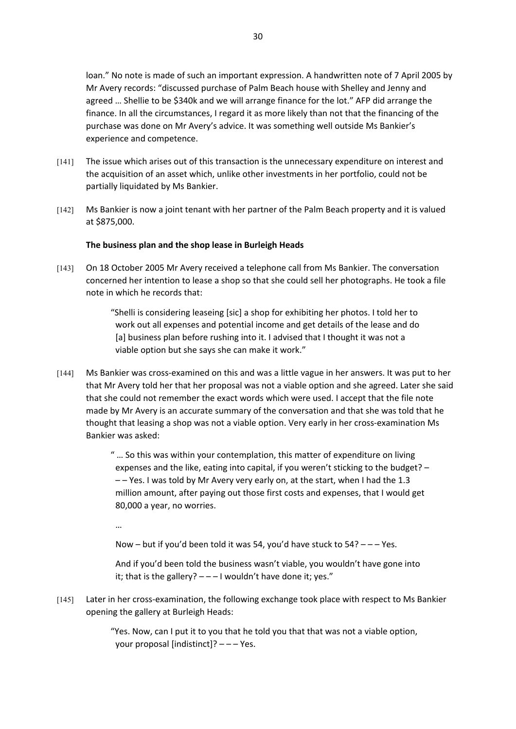loan." No note is made of such an important expression. A handwritten note of 7 April 2005 by Mr Avery records: "discussed purchase of Palm Beach house with Shelley and Jenny and agreed … Shellie to be \$340k and we will arrange finance for the lot." AFP did arrange the finance. In all the circumstances, I regard it as more likely than not that the financing of the purchase was done on Mr Avery's advice. It was something well outside Ms Bankier's experience and competence.

- [141] The issue which arises out of this transaction is the unnecessary expenditure on interest and the acquisition of an asset which, unlike other investments in her portfolio, could not be partially liquidated by Ms Bankier.
- [142] Ms Bankier is now a joint tenant with her partner of the Palm Beach property and it is valued at \$875,000.

#### **The business plan and the shop lease in Burleigh Heads**

[143] On 18 October 2005 Mr Avery received a telephone call from Ms Bankier. The conversation concerned her intention to lease a shop so that she could sell her photographs. He took a file note in which he records that:

> "Shelli is considering leaseing [sic] a shop for exhibiting her photos. I told her to work out all expenses and potential income and get details of the lease and do [a] business plan before rushing into it. I advised that I thought it was not a viable option but she says she can make it work."

[144] Ms Bankier was cross-examined on this and was a little vague in her answers. It was put to her that Mr Avery told her that her proposal was not a viable option and she agreed. Later she said that she could not remember the exact words which were used. I accept that the file note made by Mr Avery is an accurate summary of the conversation and that she was told that he thought that leasing a shop was not a viable option. Very early in her cross-examination Ms Bankier was asked:

> " … So this was within your contemplation, this matter of expenditure on living expenses and the like, eating into capital, if you weren't sticking to the budget? – – – Yes. I was told by Mr Avery very early on, at the start, when I had the 1.3 million amount, after paying out those first costs and expenses, that I would get 80,000 a year, no worries.

…

Now – but if you'd been told it was 54, you'd have stuck to  $54?$  – – – Yes.

And if you'd been told the business wasn't viable, you wouldn't have gone into it; that is the gallery?  $- - 1$  wouldn't have done it; yes."

[145] Later in her cross-examination, the following exchange took place with respect to Ms Bankier opening the gallery at Burleigh Heads:

> "Yes. Now, can I put it to you that he told you that that was not a viable option, your proposal [indistinct]? – – – Yes.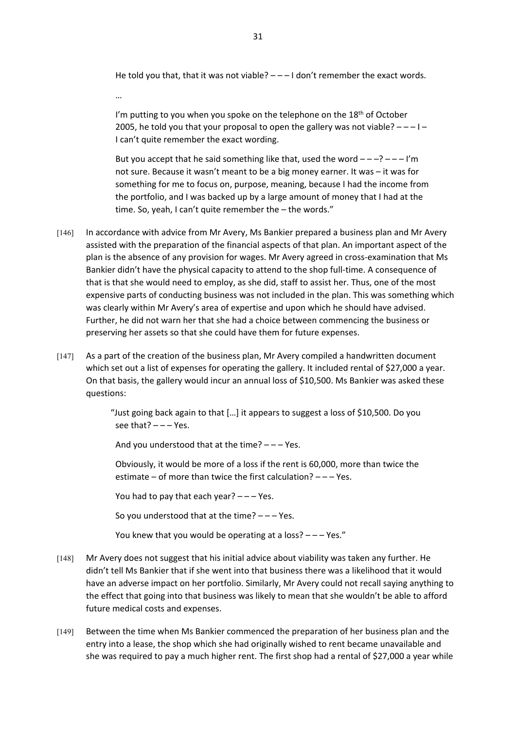He told you that, that it was not viable?  $---1$  don't remember the exact words.

…

I'm putting to you when you spoke on the telephone on the 18<sup>th</sup> of October 2005, he told you that your proposal to open the gallery was not viable?  $---1 -$ I can't quite remember the exact wording.

But you accept that he said something like that, used the word  $---? --- I'm$ not sure. Because it wasn't meant to be a big money earner. It was – it was for something for me to focus on, purpose, meaning, because I had the income from the portfolio, and I was backed up by a large amount of money that I had at the time. So, yeah, I can't quite remember the – the words."

- [146] In accordance with advice from Mr Avery, Ms Bankier prepared a business plan and Mr Avery assisted with the preparation of the financial aspects of that plan. An important aspect of the plan is the absence of any provision for wages. Mr Avery agreed in cross-examination that Ms Bankier didn't have the physical capacity to attend to the shop full-time. A consequence of that is that she would need to employ, as she did, staff to assist her. Thus, one of the most expensive parts of conducting business was not included in the plan. This was something which was clearly within Mr Avery's area of expertise and upon which he should have advised. Further, he did not warn her that she had a choice between commencing the business or preserving her assets so that she could have them for future expenses.
- [147] As a part of the creation of the business plan, Mr Avery compiled a handwritten document which set out a list of expenses for operating the gallery. It included rental of \$27,000 a year. On that basis, the gallery would incur an annual loss of \$10,500. Ms Bankier was asked these questions:

"Just going back again to that […] it appears to suggest a loss of \$10,500. Do you see that?  $---$  Yes.

And you understood that at the time?  $---$  Yes.

Obviously, it would be more of a loss if the rent is 60,000, more than twice the estimate – of more than twice the first calculation? – – – Yes.

You had to pay that each year?  $---$  Yes.

So you understood that at the time?  $---$  Yes.

You knew that you would be operating at a loss? – – – Yes."

- [148] Mr Avery does not suggest that his initial advice about viability was taken any further. He didn't tell Ms Bankier that if she went into that business there was a likelihood that it would have an adverse impact on her portfolio. Similarly, Mr Avery could not recall saying anything to the effect that going into that business was likely to mean that she wouldn't be able to afford future medical costs and expenses.
- [149] Between the time when Ms Bankier commenced the preparation of her business plan and the entry into a lease, the shop which she had originally wished to rent became unavailable and she was required to pay a much higher rent. The first shop had a rental of \$27,000 a year while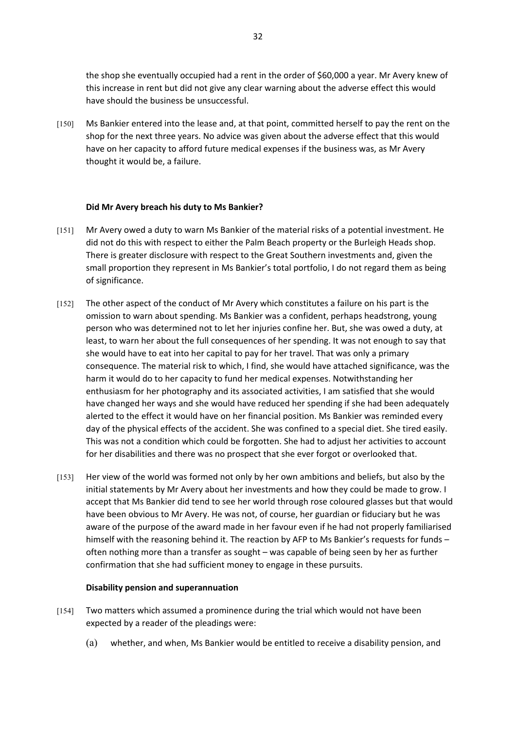the shop she eventually occupied had a rent in the order of \$60,000 a year. Mr Avery knew of this increase in rent but did not give any clear warning about the adverse effect this would have should the business be unsuccessful.

[150] Ms Bankier entered into the lease and, at that point, committed herself to pay the rent on the shop for the next three years. No advice was given about the adverse effect that this would have on her capacity to afford future medical expenses if the business was, as Mr Avery thought it would be, a failure.

## **Did Mr Avery breach his duty to Ms Bankier?**

- [151] Mr Avery owed a duty to warn Ms Bankier of the material risks of a potential investment. He did not do this with respect to either the Palm Beach property or the Burleigh Heads shop. There is greater disclosure with respect to the Great Southern investments and, given the small proportion they represent in Ms Bankier's total portfolio, I do not regard them as being of significance.
- [152] The other aspect of the conduct of Mr Avery which constitutes a failure on his part is the omission to warn about spending. Ms Bankier was a confident, perhaps headstrong, young person who was determined not to let her injuries confine her. But, she was owed a duty, at least, to warn her about the full consequences of her spending. It was not enough to say that she would have to eat into her capital to pay for her travel. That was only a primary consequence. The material risk to which, I find, she would have attached significance, was the harm it would do to her capacity to fund her medical expenses. Notwithstanding her enthusiasm for her photography and its associated activities, I am satisfied that she would have changed her ways and she would have reduced her spending if she had been adequately alerted to the effect it would have on her financial position. Ms Bankier was reminded every day of the physical effects of the accident. She was confined to a special diet. She tired easily. This was not a condition which could be forgotten. She had to adjust her activities to account for her disabilities and there was no prospect that she ever forgot or overlooked that.
- [153] Her view of the world was formed not only by her own ambitions and beliefs, but also by the initial statements by Mr Avery about her investments and how they could be made to grow. I accept that Ms Bankier did tend to see her world through rose coloured glasses but that would have been obvious to Mr Avery. He was not, of course, her guardian or fiduciary but he was aware of the purpose of the award made in her favour even if he had not properly familiarised himself with the reasoning behind it. The reaction by AFP to Ms Bankier's requests for funds often nothing more than a transfer as sought – was capable of being seen by her as further confirmation that she had sufficient money to engage in these pursuits.

#### **Disability pension and superannuation**

- [154] Two matters which assumed a prominence during the trial which would not have been expected by a reader of the pleadings were:
	- (a) whether, and when, Ms Bankier would be entitled to receive a disability pension, and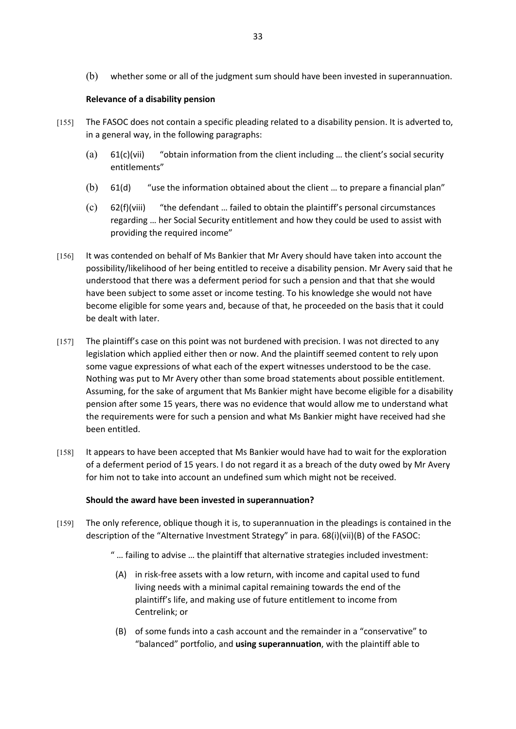(b) whether some or all of the judgment sum should have been invested in superannuation.

# **Relevance of a disability pension**

- [155] The FASOC does not contain a specific pleading related to a disability pension. It is adverted to, in a general way, in the following paragraphs:
	- (a)  $61(c)$ (vii) "obtain information from the client including ... the client's social security entitlements"
	- (b) 61(d) "use the information obtained about the client … to prepare a financial plan"
	- (c) 62(f)(viii) "the defendant … failed to obtain the plaintiff's personal circumstances regarding … her Social Security entitlement and how they could be used to assist with providing the required income"
- [156] It was contended on behalf of Ms Bankier that Mr Avery should have taken into account the possibility/likelihood of her being entitled to receive a disability pension. Mr Avery said that he understood that there was a deferment period for such a pension and that that she would have been subject to some asset or income testing. To his knowledge she would not have become eligible for some years and, because of that, he proceeded on the basis that it could be dealt with later.
- [157] The plaintiff's case on this point was not burdened with precision. I was not directed to any legislation which applied either then or now. And the plaintiff seemed content to rely upon some vague expressions of what each of the expert witnesses understood to be the case. Nothing was put to Mr Avery other than some broad statements about possible entitlement. Assuming, for the sake of argument that Ms Bankier might have become eligible for a disability pension after some 15 years, there was no evidence that would allow me to understand what the requirements were for such a pension and what Ms Bankier might have received had she been entitled.
- [158] It appears to have been accepted that Ms Bankier would have had to wait for the exploration of a deferment period of 15 years. I do not regard it as a breach of the duty owed by Mr Avery for him not to take into account an undefined sum which might not be received.

# **Should the award have been invested in superannuation?**

- [159] The only reference, oblique though it is, to superannuation in the pleadings is contained in the description of the "Alternative Investment Strategy" in para. 68(i)(vii)(B) of the FASOC:
	- " … failing to advise … the plaintiff that alternative strategies included investment:
	- (A) in risk-free assets with a low return, with income and capital used to fund living needs with a minimal capital remaining towards the end of the plaintiff's life, and making use of future entitlement to income from Centrelink; or
	- (B) of some funds into a cash account and the remainder in a "conservative" to "balanced" portfolio, and **using superannuation**, with the plaintiff able to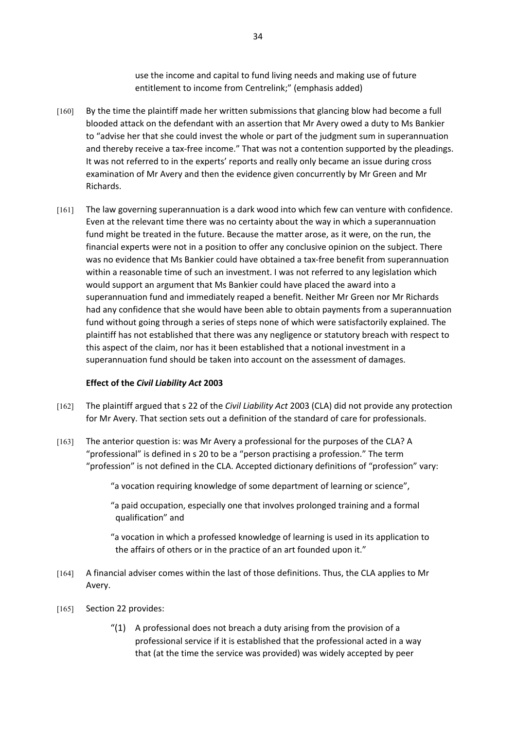use the income and capital to fund living needs and making use of future entitlement to income from Centrelink;" (emphasis added)

- [160] By the time the plaintiff made her written submissions that glancing blow had become a full blooded attack on the defendant with an assertion that Mr Avery owed a duty to Ms Bankier to "advise her that she could invest the whole or part of the judgment sum in superannuation and thereby receive a tax-free income." That was not a contention supported by the pleadings. It was not referred to in the experts' reports and really only became an issue during cross examination of Mr Avery and then the evidence given concurrently by Mr Green and Mr Richards.
- [161] The law governing superannuation is a dark wood into which few can venture with confidence. Even at the relevant time there was no certainty about the way in which a superannuation fund might be treated in the future. Because the matter arose, as it were, on the run, the financial experts were not in a position to offer any conclusive opinion on the subject. There was no evidence that Ms Bankier could have obtained a tax-free benefit from superannuation within a reasonable time of such an investment. I was not referred to any legislation which would support an argument that Ms Bankier could have placed the award into a superannuation fund and immediately reaped a benefit. Neither Mr Green nor Mr Richards had any confidence that she would have been able to obtain payments from a superannuation fund without going through a series of steps none of which were satisfactorily explained. The plaintiff has not established that there was any negligence or statutory breach with respect to this aspect of the claim, nor has it been established that a notional investment in a superannuation fund should be taken into account on the assessment of damages.

## **Effect of the** *Civil Liability Act* **2003**

- [162] The plaintiff argued that s 22 of the *Civil Liability Act* 2003 (CLA) did not provide any protection for Mr Avery. That section sets out a definition of the standard of care for professionals.
- [163] The anterior question is: was Mr Avery a professional for the purposes of the CLA? A "professional" is defined in s 20 to be a "person practising a profession." The term "profession" is not defined in the CLA. Accepted dictionary definitions of "profession" vary:
	- "a vocation requiring knowledge of some department of learning or science",
	- "a paid occupation, especially one that involves prolonged training and a formal qualification" and
	- "a vocation in which a professed knowledge of learning is used in its application to the affairs of others or in the practice of an art founded upon it."
- [164] A financial adviser comes within the last of those definitions. Thus, the CLA applies to Mr Avery.
- [165] Section 22 provides:
	- $''(1)$  A professional does not breach a duty arising from the provision of a professional service if it is established that the professional acted in a way that (at the time the service was provided) was widely accepted by peer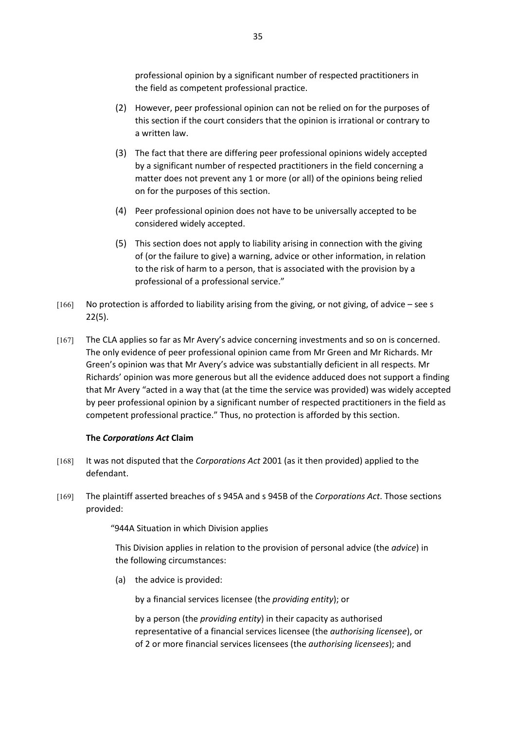professional opinion by a significant number of respected practitioners in the field as competent professional practice.

- (2) However, peer professional opinion can not be relied on for the purposes of this section if the court considers that the opinion is irrational or contrary to a written law.
- (3) The fact that there are differing peer professional opinions widely accepted by a significant number of respected practitioners in the field concerning a matter does not prevent any 1 or more (or all) of the opinions being relied on for the purposes of this section.
- (4) Peer professional opinion does not have to be universally accepted to be considered widely accepted.
- (5) This section does not apply to liability arising in connection with the giving of (or the failure to give) a warning, advice or other information, in relation to the risk of harm to a person, that is associated with the provision by a professional of a professional service."
- [166] No protection is afforded to liability arising from the giving, or not giving, of advice see s 22(5).
- [167] The CLA applies so far as Mr Avery's advice concerning investments and so on is concerned. The only evidence of peer professional opinion came from Mr Green and Mr Richards. Mr Green's opinion was that Mr Avery's advice was substantially deficient in all respects. Mr Richards' opinion was more generous but all the evidence adduced does not support a finding that Mr Avery "acted in a way that (at the time the service was provided) was widely accepted by peer professional opinion by a significant number of respected practitioners in the field as competent professional practice." Thus, no protection is afforded by this section.

## **The** *Corporations Act* **Claim**

- [168] It was not disputed that the *Corporations Act* 2001 (as it then provided) applied to the defendant.
- [169] The plaintiff asserted breaches of s 945A and s 945B of the *Corporations Act*. Those sections provided:

"944A Situation in which Division applies

This Division applies in relation to the provision of personal advice (the *advice*) in the following circumstances:

(a) the advice is provided:

by a financial services licensee (the *providing entity*); or

by a person (the *providing entity*) in their capacity as authorised representative of a financial services licensee (the *authorising licensee*), or of 2 or more financial services licensees (the *authorising licensees*); and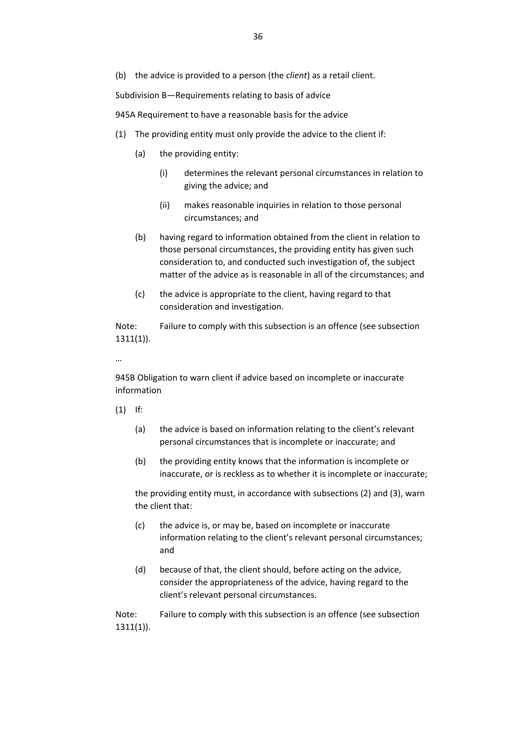(b) the advice is provided to a person (the *client*) as a retail client.

Subdivision B—Requirements relating to basis of advice

945A Requirement to have a reasonable basis for the advice

- (1) The providing entity must only provide the advice to the client if:
	- (a) the providing entity:
		- (i) determines the relevant personal circumstances in relation to giving the advice; and
		- (ii) makes reasonable inquiries in relation to those personal circumstances; and
	- (b) having regard to information obtained from the client in relation to those personal circumstances, the providing entity has given such consideration to, and conducted such investigation of, the subject matter of the advice as is reasonable in all of the circumstances; and
	- (c) the advice is appropriate to the client, having regard to that consideration and investigation.

Note: Failure to comply with this subsection is an offence (see subsection 1311(1)).

…

945B Obligation to warn client if advice based on incomplete or inaccurate information

- (1) If:
	- (a) the advice is based on information relating to the client's relevant personal circumstances that is incomplete or inaccurate; and
	- (b) the providing entity knows that the information is incomplete or inaccurate, or is reckless as to whether it is incomplete or inaccurate;

the providing entity must, in accordance with subsections (2) and (3), warn the client that:

- (c) the advice is, or may be, based on incomplete or inaccurate information relating to the client's relevant personal circumstances; and
- (d) because of that, the client should, before acting on the advice, consider the appropriateness of the advice, having regard to the client's relevant personal circumstances.

Note: Failure to comply with this subsection is an offence (see subsection 1311(1)).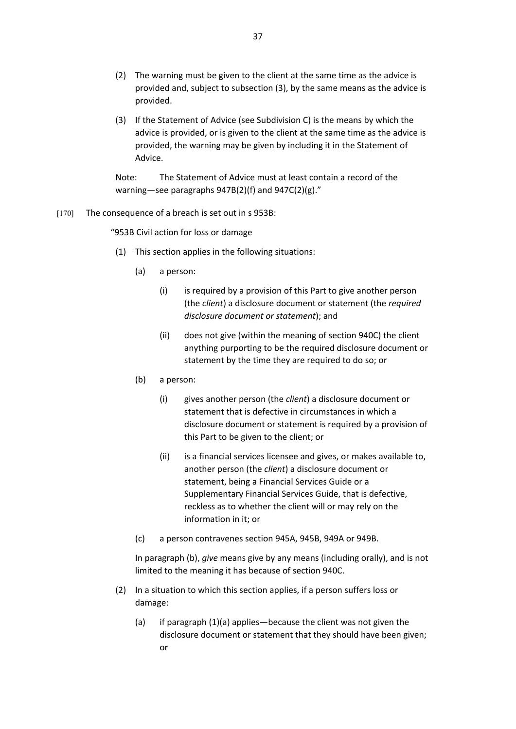- (2) The warning must be given to the client at the same time as the advice is provided and, subject to subsection (3), by the same means as the advice is provided.
- (3) If the Statement of Advice (see Subdivision C) is the means by which the advice is provided, or is given to the client at the same time as the advice is provided, the warning may be given by including it in the Statement of Advice.

Note: The Statement of Advice must at least contain a record of the warning—see paragraphs 947B(2)(f) and 947C(2)(g)."

#### [170] The consequence of a breach is set out in s 953B:

"953B Civil action for loss or damage

- (1) This section applies in the following situations:
	- (a) a person:
		- (i) is required by a provision of this Part to give another person (the *client*) a disclosure document or statement (the *required disclosure document or statement*); and
		- (ii) does not give (within the meaning of section 940C) the client anything purporting to be the required disclosure document or statement by the time they are required to do so; or
	- (b) a person:
		- (i) gives another person (the *client*) a disclosure document or statement that is defective in circumstances in which a disclosure document or statement is required by a provision of this Part to be given to the client; or
		- (ii) is a financial services licensee and gives, or makes available to, another person (the *client*) a disclosure document or statement, being a Financial Services Guide or a Supplementary Financial Services Guide, that is defective, reckless as to whether the client will or may rely on the information in it; or
	- (c) a person contravenes section 945A, 945B, 949A or 949B.

In paragraph (b), *give* means give by any means (including orally), and is not limited to the meaning it has because of section 940C.

- (2) In a situation to which this section applies, if a person suffers loss or damage:
	- (a) if paragraph (1)(a) applies—because the client was not given the disclosure document or statement that they should have been given; or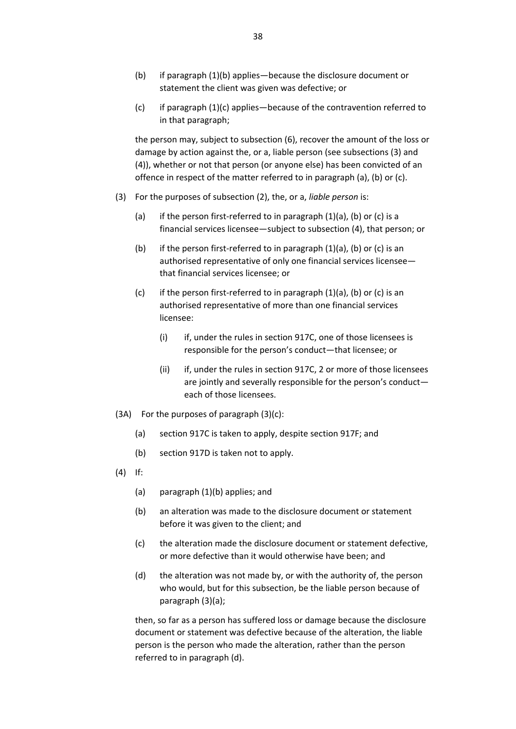- (b) if paragraph (1)(b) applies—because the disclosure document or statement the client was given was defective; or
- (c) if paragraph (1)(c) applies—because of the contravention referred to in that paragraph;

the person may, subject to subsection (6), recover the amount of the loss or damage by action against the, or a, liable person (see subsections (3) and (4)), whether or not that person (or anyone else) has been convicted of an offence in respect of the matter referred to in paragraph (a), (b) or (c).

- (3) For the purposes of subsection (2), the, or a, *liable person* is:
	- (a) if the person first-referred to in paragraph (1)(a), (b) or (c) is a financial services licensee—subject to subsection (4), that person; or
	- (b) if the person first-referred to in paragraph (1)(a), (b) or (c) is an authorised representative of only one financial services licensee that financial services licensee; or
	- (c) if the person first-referred to in paragraph  $(1)(a)$ ,  $(b)$  or  $(c)$  is an authorised representative of more than one financial services licensee:
		- (i) if, under the rules in section 917C, one of those licensees is responsible for the person's conduct—that licensee; or
		- (ii) if, under the rules in section 917C, 2 or more of those licensees are jointly and severally responsible for the person's conduct each of those licensees.
- (3A) For the purposes of paragraph (3)(c):
	- (a) section 917C is taken to apply, despite section 917F; and
	- (b) section 917D is taken not to apply.
- (4) If:
	- (a) paragraph (1)(b) applies; and
	- (b) an alteration was made to the disclosure document or statement before it was given to the client; and
	- (c) the alteration made the disclosure document or statement defective, or more defective than it would otherwise have been; and
	- (d) the alteration was not made by, or with the authority of, the person who would, but for this subsection, be the liable person because of paragraph (3)(a);

then, so far as a person has suffered loss or damage because the disclosure document or statement was defective because of the alteration, the liable person is the person who made the alteration, rather than the person referred to in paragraph (d).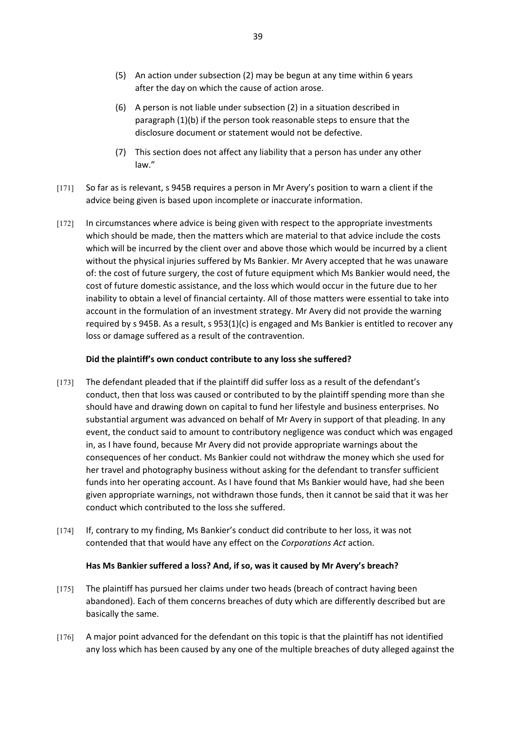- (5) An action under subsection (2) may be begun at any time within 6 years after the day on which the cause of action arose.
- (6) A person is not liable under subsection (2) in a situation described in paragraph (1)(b) if the person took reasonable steps to ensure that the disclosure document or statement would not be defective.
- (7) This section does not affect any liability that a person has under any other law."
- [171] So far as is relevant, s 945B requires a person in Mr Avery's position to warn a client if the advice being given is based upon incomplete or inaccurate information.
- [172] In circumstances where advice is being given with respect to the appropriate investments which should be made, then the matters which are material to that advice include the costs which will be incurred by the client over and above those which would be incurred by a client without the physical injuries suffered by Ms Bankier. Mr Avery accepted that he was unaware of: the cost of future surgery, the cost of future equipment which Ms Bankier would need, the cost of future domestic assistance, and the loss which would occur in the future due to her inability to obtain a level of financial certainty. All of those matters were essential to take into account in the formulation of an investment strategy. Mr Avery did not provide the warning required by s 945B. As a result, s  $953(1)(c)$  is engaged and Ms Bankier is entitled to recover any loss or damage suffered as a result of the contravention.

## **Did the plaintiff's own conduct contribute to any loss she suffered?**

- [173] The defendant pleaded that if the plaintiff did suffer loss as a result of the defendant's conduct, then that loss was caused or contributed to by the plaintiff spending more than she should have and drawing down on capital to fund her lifestyle and business enterprises. No substantial argument was advanced on behalf of Mr Avery in support of that pleading. In any event, the conduct said to amount to contributory negligence was conduct which was engaged in, as I have found, because Mr Avery did not provide appropriate warnings about the consequences of her conduct. Ms Bankier could not withdraw the money which she used for her travel and photography business without asking for the defendant to transfer sufficient funds into her operating account. As I have found that Ms Bankier would have, had she been given appropriate warnings, not withdrawn those funds, then it cannot be said that it was her conduct which contributed to the loss she suffered.
- [174] If, contrary to my finding, Ms Bankier's conduct did contribute to her loss, it was not contended that that would have any effect on the *Corporations Act* action.

#### **Has Ms Bankier suffered a loss? And, if so, was it caused by Mr Avery's breach?**

- [175] The plaintiff has pursued her claims under two heads (breach of contract having been abandoned). Each of them concerns breaches of duty which are differently described but are basically the same.
- [176] A major point advanced for the defendant on this topic is that the plaintiff has not identified any loss which has been caused by any one of the multiple breaches of duty alleged against the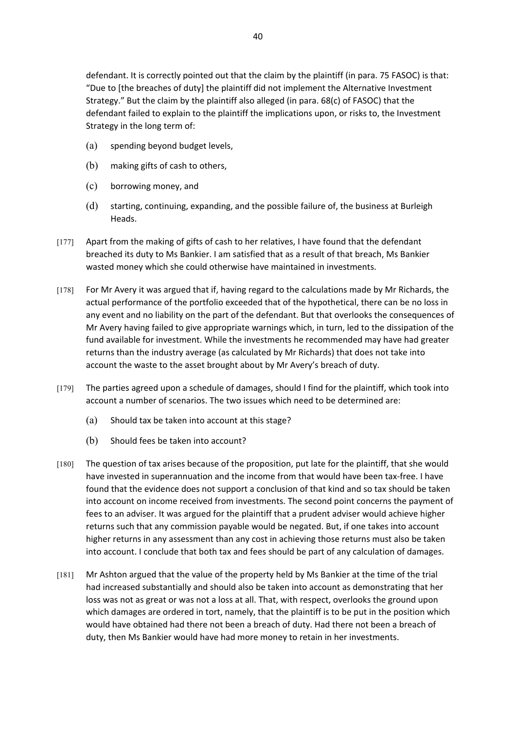defendant. It is correctly pointed out that the claim by the plaintiff (in para. 75 FASOC) is that: "Due to [the breaches of duty] the plaintiff did not implement the Alternative Investment Strategy." But the claim by the plaintiff also alleged (in para. 68(c) of FASOC) that the defendant failed to explain to the plaintiff the implications upon, or risks to, the Investment Strategy in the long term of:

- (a) spending beyond budget levels,
- (b) making gifts of cash to others,
- (c) borrowing money, and
- (d) starting, continuing, expanding, and the possible failure of, the business at Burleigh Heads.
- [177] Apart from the making of gifts of cash to her relatives, I have found that the defendant breached its duty to Ms Bankier. I am satisfied that as a result of that breach, Ms Bankier wasted money which she could otherwise have maintained in investments.
- [178] For Mr Avery it was argued that if, having regard to the calculations made by Mr Richards, the actual performance of the portfolio exceeded that of the hypothetical, there can be no loss in any event and no liability on the part of the defendant. But that overlooks the consequences of Mr Avery having failed to give appropriate warnings which, in turn, led to the dissipation of the fund available for investment. While the investments he recommended may have had greater returns than the industry average (as calculated by Mr Richards) that does not take into account the waste to the asset brought about by Mr Avery's breach of duty.
- [179] The parties agreed upon a schedule of damages, should I find for the plaintiff, which took into account a number of scenarios. The two issues which need to be determined are:
	- (a) Should tax be taken into account at this stage?
	- (b) Should fees be taken into account?
- [180] The question of tax arises because of the proposition, put late for the plaintiff, that she would have invested in superannuation and the income from that would have been tax-free. I have found that the evidence does not support a conclusion of that kind and so tax should be taken into account on income received from investments. The second point concerns the payment of fees to an adviser. It was argued for the plaintiff that a prudent adviser would achieve higher returns such that any commission payable would be negated. But, if one takes into account higher returns in any assessment than any cost in achieving those returns must also be taken into account. I conclude that both tax and fees should be part of any calculation of damages.
- [181] Mr Ashton argued that the value of the property held by Ms Bankier at the time of the trial had increased substantially and should also be taken into account as demonstrating that her loss was not as great or was not a loss at all. That, with respect, overlooks the ground upon which damages are ordered in tort, namely, that the plaintiff is to be put in the position which would have obtained had there not been a breach of duty. Had there not been a breach of duty, then Ms Bankier would have had more money to retain in her investments.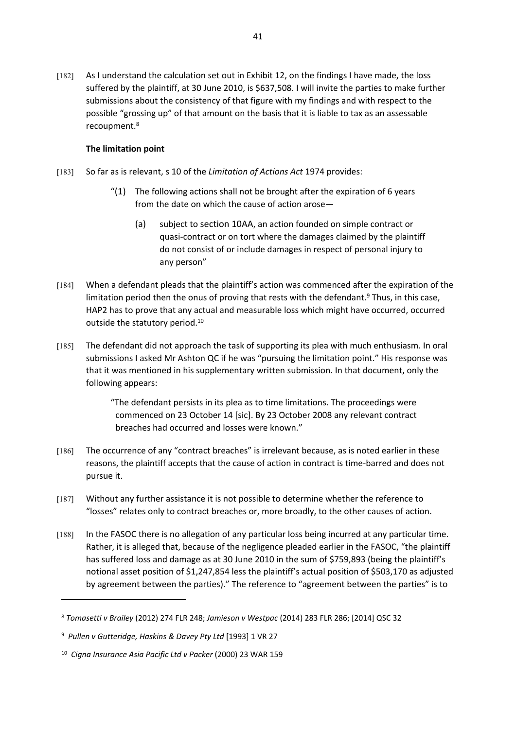[182] As I understand the calculation set out in Exhibit 12, on the findings I have made, the loss suffered by the plaintiff, at 30 June 2010, is \$637,508. I will invite the parties to make further submissions about the consistency of that figure with my findings and with respect to the possible "grossing up" of that amount on the basis that it is liable to tax as an assessable recoupment.<sup>8</sup>

## **The limitation point**

- [183] So far as is relevant, s 10 of the *Limitation of Actions Act* 1974 provides:
	- $''(1)$  The following actions shall not be brought after the expiration of 6 years from the date on which the cause of action arose—
		- (a) subject to section 10AA, an action founded on simple contract or quasi-contract or on tort where the damages claimed by the plaintiff do not consist of or include damages in respect of personal injury to any person"
- [184] When a defendant pleads that the plaintiff's action was commenced after the expiration of the limitation period then the onus of proving that rests with the defendant.<sup>9</sup> Thus, in this case, HAP2 has to prove that any actual and measurable loss which might have occurred, occurred outside the statutory period.<sup>10</sup>
- [185] The defendant did not approach the task of supporting its plea with much enthusiasm. In oral submissions I asked Mr Ashton QC if he was "pursuing the limitation point." His response was that it was mentioned in his supplementary written submission. In that document, only the following appears:

"The defendant persists in its plea as to time limitations. The proceedings were commenced on 23 October 14 [sic]. By 23 October 2008 any relevant contract breaches had occurred and losses were known."

- [186] The occurrence of any "contract breaches" is irrelevant because, as is noted earlier in these reasons, the plaintiff accepts that the cause of action in contract is time-barred and does not pursue it.
- [187] Without any further assistance it is not possible to determine whether the reference to "losses" relates only to contract breaches or, more broadly, to the other causes of action.
- [188] In the FASOC there is no allegation of any particular loss being incurred at any particular time. Rather, it is alleged that, because of the negligence pleaded earlier in the FASOC, "the plaintiff has suffered loss and damage as at 30 June 2010 in the sum of \$759,893 (being the plaintiff's notional asset position of \$1,247,854 less the plaintiff's actual position of \$503,170 as adjusted by agreement between the parties)." The reference to "agreement between the parties" is to

<sup>8</sup> *Tomasetti v Brailey* (2012) 274 FLR 248; *Jamieson v Westpac* (2014) 283 FLR 286; [2014] QSC 32

<sup>9</sup> *Pullen v Gutteridge, Haskins & Davey Pty Ltd* [1993] 1 VR 27

<sup>10</sup> *Cigna Insurance Asia Pacific Ltd v Packer* (2000) 23 WAR 159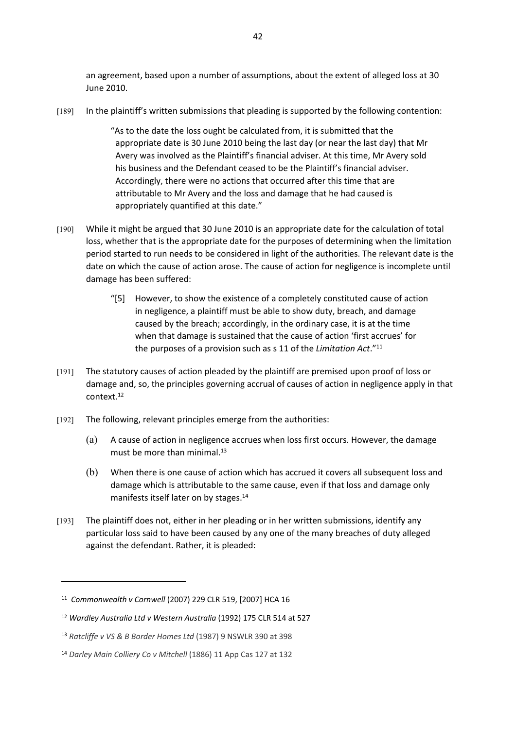an agreement, based upon a number of assumptions, about the extent of alleged loss at 30 June 2010.

[189] In the plaintiff's written submissions that pleading is supported by the following contention:

"As to the date the loss ought be calculated from, it is submitted that the appropriate date is 30 June 2010 being the last day (or near the last day) that Mr Avery was involved as the Plaintiff's financial adviser. At this time, Mr Avery sold his business and the Defendant ceased to be the Plaintiff's financial adviser. Accordingly, there were no actions that occurred after this time that are attributable to Mr Avery and the loss and damage that he had caused is appropriately quantified at this date."

- [190] While it might be argued that 30 June 2010 is an appropriate date for the calculation of total loss, whether that is the appropriate date for the purposes of determining when the limitation period started to run needs to be considered in light of the authorities. The relevant date is the date on which the cause of action arose. The cause of action for negligence is incomplete until damage has been suffered:
	- "[5] However, to show the existence of a completely constituted cause of action in negligence, a plaintiff must be able to show duty, breach, and damage caused by the breach; accordingly, in the ordinary case, it is at the time when that damage is sustained that the cause of action 'first accrues' for the purposes of a provision such as s 11 of the *Limitation Act*."<sup>11</sup>
- [191] The statutory causes of action pleaded by the plaintiff are premised upon proof of loss or damage and, so, the principles governing accrual of causes of action in negligence apply in that context.<sup>12</sup>
- [192] The following, relevant principles emerge from the authorities:
	- (a) A cause of action in negligence accrues when loss first occurs. However, the damage must be more than minimal.<sup>13</sup>
	- (b) When there is one cause of action which has accrued it covers all subsequent loss and damage which is attributable to the same cause, even if that loss and damage only manifests itself later on by stages.<sup>14</sup>
- [193] The plaintiff does not, either in her pleading or in her written submissions, identify any particular loss said to have been caused by any one of the many breaches of duty alleged against the defendant. Rather, it is pleaded:

<sup>11</sup> *Commonwealth v Cornwell* (2007) 229 CLR 519, [2007] HCA 16

<sup>12</sup> *Wardley Australia Ltd v Western Australia* (1992) 175 CLR 514 at 527

<sup>13</sup> *Ratcliffe v VS & B Border Homes Ltd* (1987) 9 NSWLR 390 at 398

<sup>14</sup> *Darley Main Colliery Co v Mitchell* (1886) 11 App Cas 127 at 132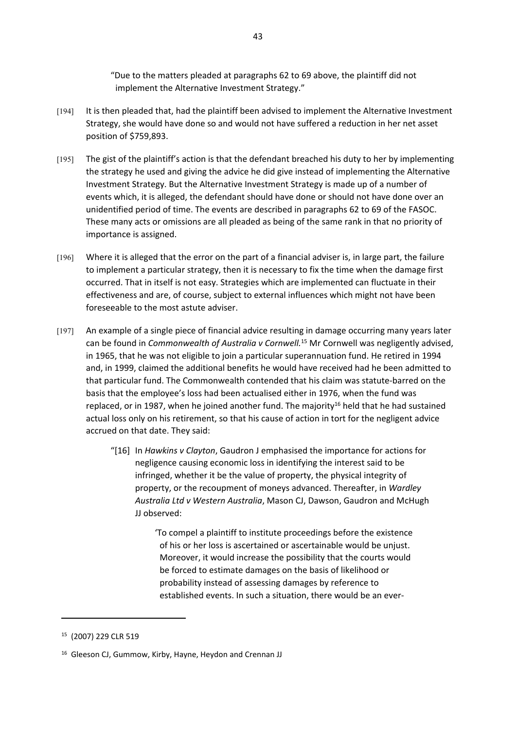"Due to the matters pleaded at paragraphs 62 to 69 above, the plaintiff did not implement the Alternative Investment Strategy."

- [194] It is then pleaded that, had the plaintiff been advised to implement the Alternative Investment Strategy, she would have done so and would not have suffered a reduction in her net asset position of \$759,893.
- [195] The gist of the plaintiff's action is that the defendant breached his duty to her by implementing the strategy he used and giving the advice he did give instead of implementing the Alternative Investment Strategy. But the Alternative Investment Strategy is made up of a number of events which, it is alleged, the defendant should have done or should not have done over an unidentified period of time. The events are described in paragraphs 62 to 69 of the FASOC. These many acts or omissions are all pleaded as being of the same rank in that no priority of importance is assigned.
- [196] Where it is alleged that the error on the part of a financial adviser is, in large part, the failure to implement a particular strategy, then it is necessary to fix the time when the damage first occurred. That in itself is not easy. Strategies which are implemented can fluctuate in their effectiveness and are, of course, subject to external influences which might not have been foreseeable to the most astute adviser.
- [197] An example of a single piece of financial advice resulting in damage occurring many years later can be found in *Commonwealth of Australia v Cornwell.*<sup>15</sup> Mr Cornwell was negligently advised, in 1965, that he was not eligible to join a particular superannuation fund. He retired in 1994 and, in 1999, claimed the additional benefits he would have received had he been admitted to that particular fund. The Commonwealth contended that his claim was statute-barred on the basis that the employee's loss had been actualised either in 1976, when the fund was replaced, or in 1987, when he joined another fund. The majority<sup>16</sup> held that he had sustained actual loss only on his retirement, so that his cause of action in tort for the negligent advice accrued on that date. They said:
	- "[16] In *Hawkins v Clayton*, Gaudron J emphasised the importance for actions for negligence causing economic loss in identifying the interest said to be infringed, whether it be the value of property, the physical integrity of property, or the recoupment of moneys advanced. Thereafter, in *Wardley Australia Ltd v Western Australia*, Mason CJ, Dawson, Gaudron and McHugh JJ observed:

'To compel a plaintiff to institute proceedings before the existence of his or her loss is ascertained or ascertainable would be unjust. Moreover, it would increase the possibility that the courts would be forced to estimate damages on the basis of likelihood or probability instead of assessing damages by reference to established events. In such a situation, there would be an ever-

<sup>15</sup> (2007) 229 CLR 519

<sup>16</sup> Gleeson CJ, Gummow, Kirby, Hayne, Heydon and Crennan JJ